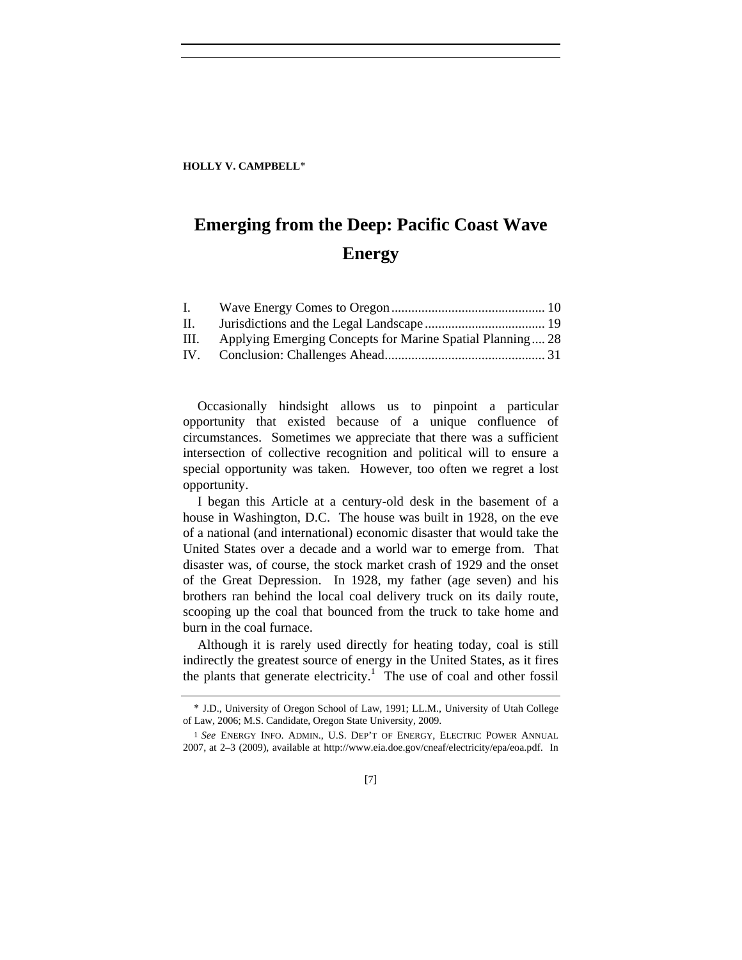#### **HOLLY V. CAMPBELL**∗

# **Emerging from the Deep: Pacific Coast Wave Energy**

| $\mathbf{L}$ |                                                           |  |
|--------------|-----------------------------------------------------------|--|
| II.          |                                                           |  |
| III.         | Applying Emerging Concepts for Marine Spatial Planning 28 |  |
| IV.          |                                                           |  |

Occasionally hindsight allows us to pinpoint a particular opportunity that existed because of a unique confluence of circumstances. Sometimes we appreciate that there was a sufficient intersection of collective recognition and political will to ensure a special opportunity was taken. However, too often we regret a lost opportunity.

I began this Article at a century-old desk in the basement of a house in Washington, D.C. The house was built in 1928, on the eve of a national (and international) economic disaster that would take the United States over a decade and a world war to emerge from. That disaster was, of course, the stock market crash of 1929 and the onset of the Great Depression. In 1928, my father (age seven) and his brothers ran behind the local coal delivery truck on its daily route, scooping up the coal that bounced from the truck to take home and burn in the coal furnace.

Although it is rarely used directly for heating today, coal is still indirectly the greatest source of energy in the United States, as it fires the plants that generate electricity.<sup>1</sup> The use of coal and other fossil

<sup>∗</sup> J.D., University of Oregon School of Law, 1991; LL.M., University of Utah College of Law, 2006; M.S. Candidate, Oregon State University, 2009.

<sup>1</sup> *See* ENERGY INFO. ADMIN., U.S. DEP'T OF ENERGY, ELECTRIC POWER ANNUAL 2007, at 2–3 (2009), available at http://www.eia.doe.gov/cneaf/electricity/epa/eoa.pdf. In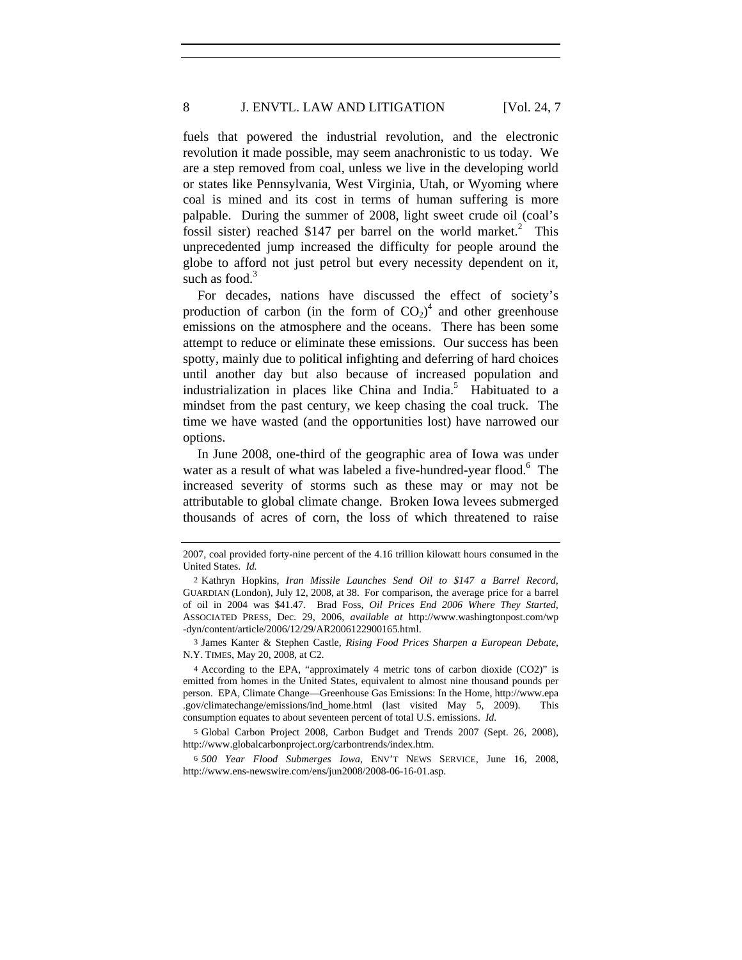fuels that powered the industrial revolution, and the electronic revolution it made possible, may seem anachronistic to us today. We are a step removed from coal, unless we live in the developing world or states like Pennsylvania, West Virginia, Utah, or Wyoming where coal is mined and its cost in terms of human suffering is more palpable. During the summer of 2008, light sweet crude oil (coal's fossil sister) reached \$147 per barrel on the world market.<sup>2</sup> This unprecedented jump increased the difficulty for people around the globe to afford not just petrol but every necessity dependent on it, such as food. $3$ 

For decades, nations have discussed the effect of society's production of carbon (in the form of  $CO<sub>2</sub>$ )<sup>4</sup> and other greenhouse emissions on the atmosphere and the oceans. There has been some attempt to reduce or eliminate these emissions. Our success has been spotty, mainly due to political infighting and deferring of hard choices until another day but also because of increased population and industrialization in places like China and India.<sup>5</sup> Habituated to a mindset from the past century, we keep chasing the coal truck. The time we have wasted (and the opportunities lost) have narrowed our options.

In June 2008, one-third of the geographic area of Iowa was under water as a result of what was labeled a five-hundred-year flood.<sup>6</sup> The increased severity of storms such as these may or may not be attributable to global climate change. Broken Iowa levees submerged thousands of acres of corn, the loss of which threatened to raise

<sup>2007,</sup> coal provided forty-nine percent of the 4.16 trillion kilowatt hours consumed in the United States. *Id.*

<sup>2</sup> Kathryn Hopkins, *Iran Missile Launches Send Oil to \$147 a Barrel Record*, GUARDIAN (London), July 12, 2008, at 38. For comparison, the average price for a barrel of oil in 2004 was \$41.47. Brad Foss, *Oil Prices End 2006 Where They Started*, ASSOCIATED PRESS, Dec. 29, 2006, *available at* http://www.washingtonpost.com/wp -dyn/content/article/2006/12/29/AR2006122900165.html.

<sup>3</sup> James Kanter & Stephen Castle, *Rising Food Prices Sharpen a European Debate*, N.Y. TIMES, May 20, 2008, at C2.

<sup>4</sup> According to the EPA, "approximately 4 metric tons of carbon dioxide (CO2)" is emitted from homes in the United States, equivalent to almost nine thousand pounds per person. EPA, Climate Change—Greenhouse Gas Emissions: In the Home, http://www.epa .gov/climatechange/emissions/ind\_home.html (last visited May 5, 2009). This consumption equates to about seventeen percent of total U.S. emissions. *Id.*

<sup>5</sup> Global Carbon Project 2008, Carbon Budget and Trends 2007 (Sept. 26, 2008), http://www.globalcarbonproject.org/carbontrends/index.htm.

<sup>6</sup> *500 Year Flood Submerges Iowa*, ENV'T NEWS SERVICE, June 16, 2008, http://www.ens-newswire.com/ens/jun2008/2008-06-16-01.asp.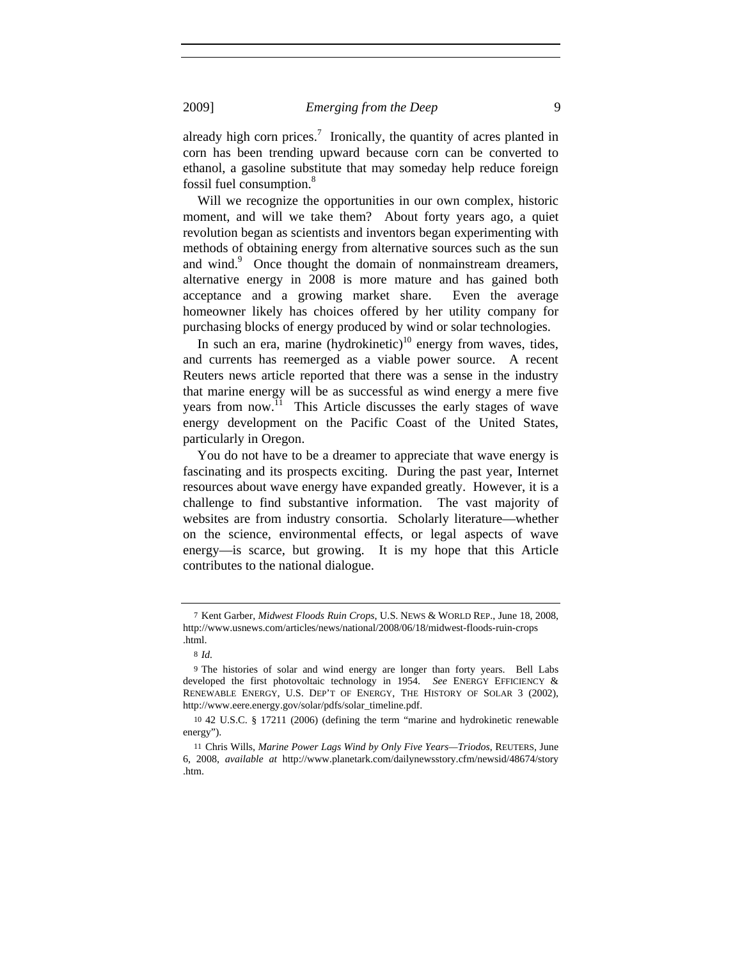already high corn prices.<sup>7</sup> Ironically, the quantity of acres planted in corn has been trending upward because corn can be converted to ethanol, a gasoline substitute that may someday help reduce foreign fossil fuel consumption.<sup>8</sup>

Will we recognize the opportunities in our own complex, historic moment, and will we take them? About forty years ago, a quiet revolution began as scientists and inventors began experimenting with methods of obtaining energy from alternative sources such as the sun and wind.<sup>9</sup> Once thought the domain of nonmainstream dreamers, alternative energy in 2008 is more mature and has gained both acceptance and a growing market share. Even the average homeowner likely has choices offered by her utility company for purchasing blocks of energy produced by wind or solar technologies.

In such an era, marine (hydrokinetic)<sup>10</sup> energy from waves, tides, and currents has reemerged as a viable power source. A recent Reuters news article reported that there was a sense in the industry that marine energy will be as successful as wind energy a mere five years from now.<sup>11</sup> This Article discusses the early stages of wave energy development on the Pacific Coast of the United States, particularly in Oregon.

You do not have to be a dreamer to appreciate that wave energy is fascinating and its prospects exciting. During the past year, Internet resources about wave energy have expanded greatly. However, it is a challenge to find substantive information. The vast majority of websites are from industry consortia. Scholarly literature—whether on the science, environmental effects, or legal aspects of wave energy—is scarce, but growing. It is my hope that this Article contributes to the national dialogue.

<sup>7</sup> Kent Garber, *Midwest Floods Ruin Crops*, U.S. NEWS & WORLD REP., June 18, 2008, http://www.usnews.com/articles/news/national/2008/06/18/midwest-floods-ruin-crops .html.

<sup>8</sup> *Id.*

<sup>9</sup> The histories of solar and wind energy are longer than forty years. Bell Labs developed the first photovoltaic technology in 1954. *See* ENERGY EFFICIENCY & RENEWABLE ENERGY, U.S. DEP'T OF ENERGY, THE HISTORY OF SOLAR 3 (2002), http://www.eere.energy.gov/solar/pdfs/solar\_timeline.pdf.

<sup>10</sup> 42 U.S.C. § 17211 (2006) (defining the term "marine and hydrokinetic renewable energy").

<sup>11</sup> Chris Wills, *Marine Power Lags Wind by Only Five Years—Triodos*, REUTERS, June 6, 2008, *available at* http://www.planetark.com/dailynewsstory.cfm/newsid/48674/story .htm.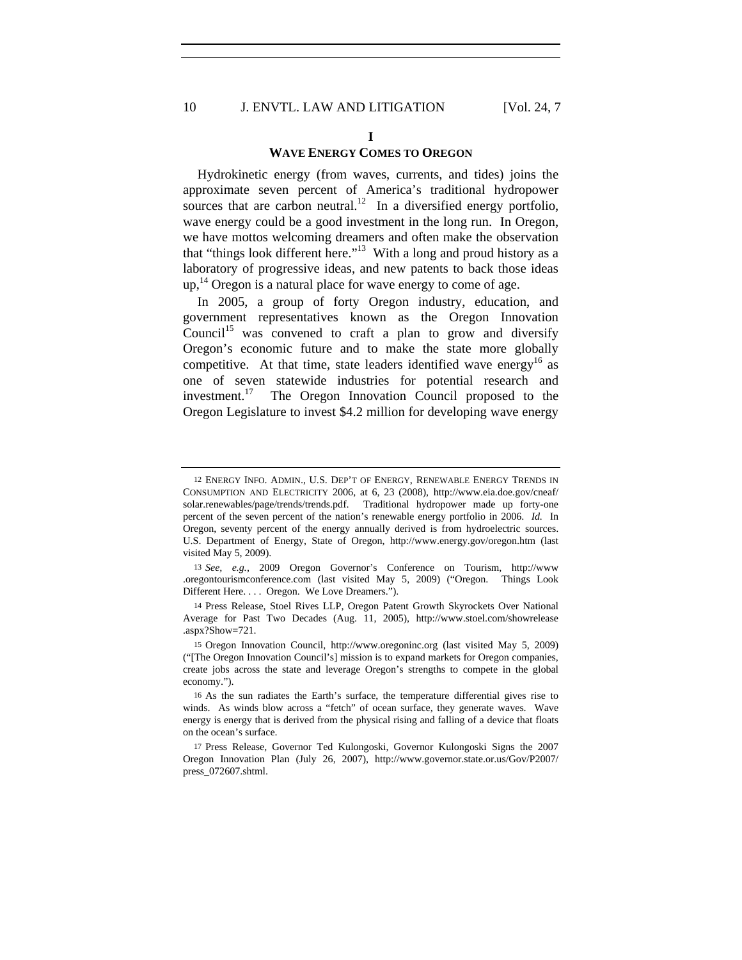#### **I**

#### **WAVE ENERGY COMES TO OREGON**

Hydrokinetic energy (from waves, currents, and tides) joins the approximate seven percent of America's traditional hydropower sources that are carbon neutral.<sup>12</sup> In a diversified energy portfolio, wave energy could be a good investment in the long run. In Oregon, we have mottos welcoming dreamers and often make the observation that "things look different here."<sup>13</sup> With a long and proud history as a laboratory of progressive ideas, and new patents to back those ideas  $up,$ <sup>14</sup> Oregon is a natural place for wave energy to come of age.

In 2005, a group of forty Oregon industry, education, and government representatives known as the Oregon Innovation Council<sup>15</sup> was convened to craft a plan to grow and diversify Oregon's economic future and to make the state more globally competitive. At that time, state leaders identified wave energy<sup>16</sup> as one of seven statewide industries for potential research and investment.<sup>17</sup> The Oregon Innovation Council proposed to the Oregon Legislature to invest \$4.2 million for developing wave energy

<sup>12</sup> ENERGY INFO. ADMIN., U.S. DEP'T OF ENERGY, RENEWABLE ENERGY TRENDS IN CONSUMPTION AND ELECTRICITY 2006, at 6, 23 (2008), http://www.eia.doe.gov/cneaf/ solar.renewables/page/trends/trends.pdf. Traditional hydropower made up forty-one percent of the seven percent of the nation's renewable energy portfolio in 2006. *Id.* In Oregon, seventy percent of the energy annually derived is from hydroelectric sources. U.S. Department of Energy, State of Oregon, http://www.energy.gov/oregon.htm (last visited May 5, 2009).

<sup>13</sup> *See, e.g.*, 2009 Oregon Governor's Conference on Tourism, http://www .oregontourismconference.com (last visited May 5, 2009) ("Oregon. Things Look Different Here. . . . Oregon. We Love Dreamers.").

<sup>14</sup> Press Release, Stoel Rives LLP, Oregon Patent Growth Skyrockets Over National Average for Past Two Decades (Aug. 11, 2005), http://www.stoel.com/showrelease .aspx?Show=721.

<sup>15</sup> Oregon Innovation Council, http://www.oregoninc.org (last visited May 5, 2009) ("[The Oregon Innovation Council's] mission is to expand markets for Oregon companies, create jobs across the state and leverage Oregon's strengths to compete in the global economy.").

<sup>16</sup> As the sun radiates the Earth's surface, the temperature differential gives rise to winds. As winds blow across a "fetch" of ocean surface, they generate waves. Wave energy is energy that is derived from the physical rising and falling of a device that floats on the ocean's surface.

<sup>17</sup> Press Release, Governor Ted Kulongoski, Governor Kulongoski Signs the 2007 Oregon Innovation Plan (July 26, 2007), http://www.governor.state.or.us/Gov/P2007/ press\_072607.shtml.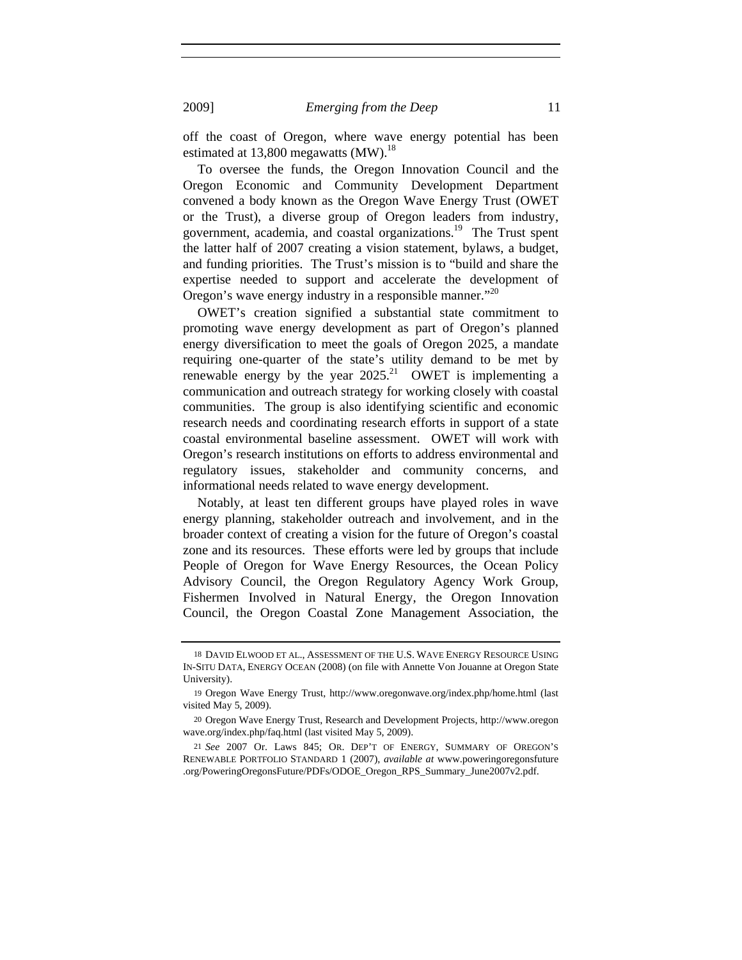off the coast of Oregon, where wave energy potential has been estimated at  $13,800$  megawatts (MW).<sup>18</sup>

To oversee the funds, the Oregon Innovation Council and the Oregon Economic and Community Development Department convened a body known as the Oregon Wave Energy Trust (OWET or the Trust), a diverse group of Oregon leaders from industry, government, academia, and coastal organizations.19 The Trust spent the latter half of 2007 creating a vision statement, bylaws, a budget, and funding priorities. The Trust's mission is to "build and share the expertise needed to support and accelerate the development of Oregon's wave energy industry in a responsible manner."<sup>20</sup>

OWET's creation signified a substantial state commitment to promoting wave energy development as part of Oregon's planned energy diversification to meet the goals of Oregon 2025, a mandate requiring one-quarter of the state's utility demand to be met by renewable energy by the year  $2025$ <sup>21</sup> OWET is implementing a communication and outreach strategy for working closely with coastal communities. The group is also identifying scientific and economic research needs and coordinating research efforts in support of a state coastal environmental baseline assessment. OWET will work with Oregon's research institutions on efforts to address environmental and regulatory issues, stakeholder and community concerns, and informational needs related to wave energy development.

Notably, at least ten different groups have played roles in wave energy planning, stakeholder outreach and involvement, and in the broader context of creating a vision for the future of Oregon's coastal zone and its resources. These efforts were led by groups that include People of Oregon for Wave Energy Resources, the Ocean Policy Advisory Council, the Oregon Regulatory Agency Work Group, Fishermen Involved in Natural Energy, the Oregon Innovation Council, the Oregon Coastal Zone Management Association, the

<sup>18</sup> DAVID ELWOOD ET AL., ASSESSMENT OF THE U.S. WAVE ENERGY RESOURCE USING IN-SITU DATA, ENERGY OCEAN (2008) (on file with Annette Von Jouanne at Oregon State University).

<sup>19</sup> Oregon Wave Energy Trust, http://www.oregonwave.org/index.php/home.html (last visited May 5, 2009).

<sup>20</sup> Oregon Wave Energy Trust, Research and Development Projects, http://www.oregon wave.org/index.php/faq.html (last visited May 5, 2009).

<sup>21</sup> *See* 2007 Or. Laws 845; OR. DEP'T OF ENERGY, SUMMARY OF OREGON'S RENEWABLE PORTFOLIO STANDARD 1 (2007), *available at* www.poweringoregonsfuture .org/PoweringOregonsFuture/PDFs/ODOE\_Oregon\_RPS\_Summary\_June2007v2.pdf.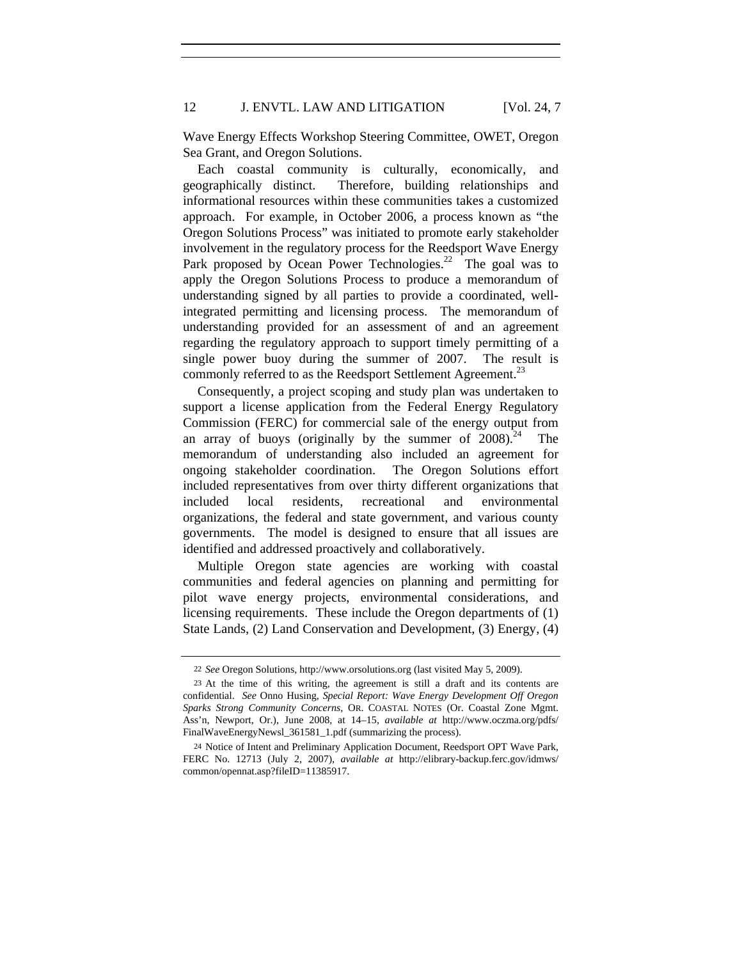Wave Energy Effects Workshop Steering Committee, OWET, Oregon Sea Grant, and Oregon Solutions.

Each coastal community is culturally, economically, and geographically distinct. Therefore, building relationships and informational resources within these communities takes a customized approach. For example, in October 2006, a process known as "the Oregon Solutions Process" was initiated to promote early stakeholder involvement in the regulatory process for the Reedsport Wave Energy Park proposed by Ocean Power Technologies.<sup>22</sup> The goal was to apply the Oregon Solutions Process to produce a memorandum of understanding signed by all parties to provide a coordinated, wellintegrated permitting and licensing process. The memorandum of understanding provided for an assessment of and an agreement regarding the regulatory approach to support timely permitting of a single power buoy during the summer of 2007. The result is commonly referred to as the Reedsport Settlement Agreement.<sup>23</sup>

Consequently, a project scoping and study plan was undertaken to support a license application from the Federal Energy Regulatory Commission (FERC) for commercial sale of the energy output from an array of buoys (originally by the summer of  $2008$ ).<sup>24</sup> The memorandum of understanding also included an agreement for ongoing stakeholder coordination. The Oregon Solutions effort included representatives from over thirty different organizations that included local residents, recreational and environmental organizations, the federal and state government, and various county governments. The model is designed to ensure that all issues are identified and addressed proactively and collaboratively.

Multiple Oregon state agencies are working with coastal communities and federal agencies on planning and permitting for pilot wave energy projects, environmental considerations, and licensing requirements. These include the Oregon departments of (1) State Lands, (2) Land Conservation and Development, (3) Energy, (4)

<sup>22</sup> *See* Oregon Solutions, http://www.orsolutions.org (last visited May 5, 2009).

<sup>23</sup> At the time of this writing, the agreement is still a draft and its contents are confidential. *See* Onno Husing, *Special Report: Wave Energy Development Off Oregon Sparks Strong Community Concerns*, OR. COASTAL NOTES (Or. Coastal Zone Mgmt. Ass'n, Newport, Or.), June 2008, at 14–15, *available at* http://www.oczma.org/pdfs/ FinalWaveEnergyNewsl\_361581\_1.pdf (summarizing the process).

<sup>24</sup> Notice of Intent and Preliminary Application Document, Reedsport OPT Wave Park, FERC No. 12713 (July 2, 2007), *available at* http://elibrary-backup.ferc.gov/idmws/ common/opennat.asp?fileID=11385917.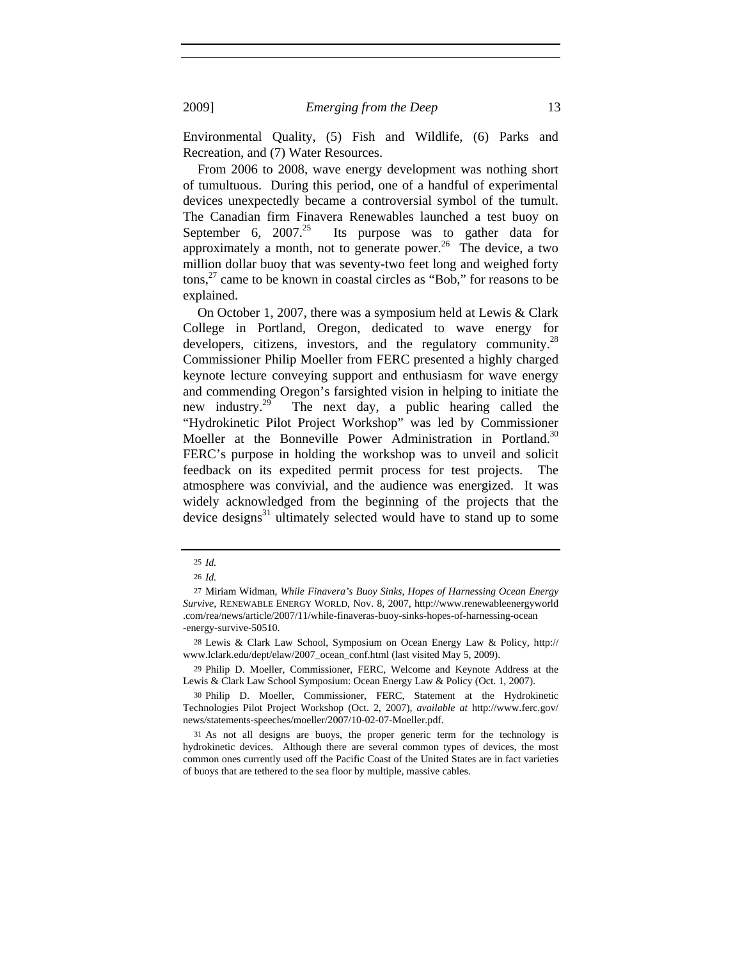Environmental Quality, (5) Fish and Wildlife, (6) Parks and Recreation, and (7) Water Resources.

From 2006 to 2008, wave energy development was nothing short of tumultuous. During this period, one of a handful of experimental devices unexpectedly became a controversial symbol of the tumult. The Canadian firm Finavera Renewables launched a test buoy on September  $6$ ,  $2007.<sup>25</sup>$  Its purpose was to gather data for Its purpose was to gather data for approximately a month, not to generate power.<sup>26</sup> The device, a two million dollar buoy that was seventy-two feet long and weighed forty  $\cos$ ,<sup>27</sup> came to be known in coastal circles as "Bob," for reasons to be explained.

On October 1, 2007, there was a symposium held at Lewis & Clark College in Portland, Oregon, dedicated to wave energy for developers, citizens, investors, and the regulatory community.<sup>28</sup> Commissioner Philip Moeller from FERC presented a highly charged keynote lecture conveying support and enthusiasm for wave energy and commending Oregon's farsighted vision in helping to initiate the new industry.29 The next day, a public hearing called the "Hydrokinetic Pilot Project Workshop" was led by Commissioner Moeller at the Bonneville Power Administration in Portland.<sup>30</sup> FERC's purpose in holding the workshop was to unveil and solicit feedback on its expedited permit process for test projects. The atmosphere was convivial, and the audience was energized. It was widely acknowledged from the beginning of the projects that the device designs $31$  ultimately selected would have to stand up to some

<sup>25</sup> *Id.*

<sup>26</sup> *Id.*

<sup>27</sup> Miriam Widman, *While Finavera's Buoy Sinks, Hopes of Harnessing Ocean Energy Survive*, RENEWABLE ENERGY WORLD, Nov. 8, 2007, http://www.renewableenergyworld .com/rea/news/article/2007/11/while-finaveras-buoy-sinks-hopes-of-harnessing-ocean -energy-survive-50510.

<sup>28</sup> Lewis & Clark Law School, Symposium on Ocean Energy Law & Policy, http:// www.lclark.edu/dept/elaw/2007\_ocean\_conf.html (last visited May 5, 2009).

<sup>29</sup> Philip D. Moeller, Commissioner, FERC, Welcome and Keynote Address at the Lewis & Clark Law School Symposium: Ocean Energy Law & Policy (Oct. 1, 2007).

<sup>30</sup> Philip D. Moeller, Commissioner, FERC, Statement at the Hydrokinetic Technologies Pilot Project Workshop (Oct. 2, 2007), *available at* http://www.ferc.gov/ news/statements-speeches/moeller/2007/10-02-07-Moeller.pdf.

<sup>31</sup> As not all designs are buoys, the proper generic term for the technology is hydrokinetic devices. Although there are several common types of devices, the most common ones currently used off the Pacific Coast of the United States are in fact varieties of buoys that are tethered to the sea floor by multiple, massive cables.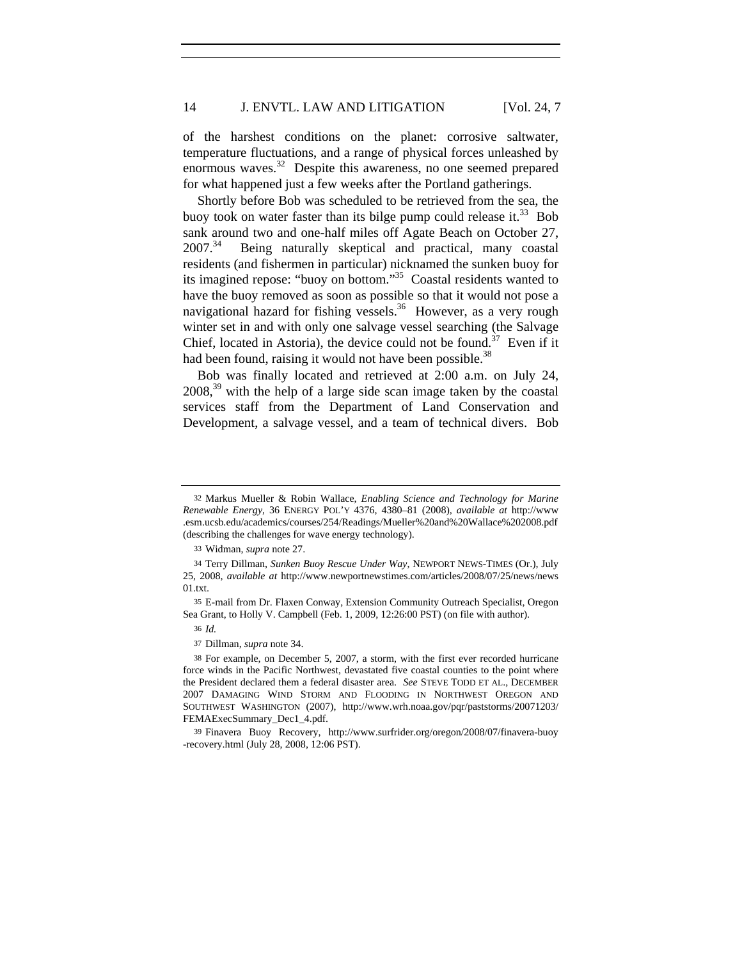of the harshest conditions on the planet: corrosive saltwater, temperature fluctuations, and a range of physical forces unleashed by enormous waves.<sup>32</sup> Despite this awareness, no one seemed prepared for what happened just a few weeks after the Portland gatherings.

Shortly before Bob was scheduled to be retrieved from the sea, the buoy took on water faster than its bilge pump could release it.<sup>33</sup> Bob sank around two and one-half miles off Agate Beach on October 27, 2007.<sup>34</sup> Being naturally skeptical and practical, many coastal residents (and fishermen in particular) nicknamed the sunken buoy for its imagined repose: "buoy on bottom."35 Coastal residents wanted to have the buoy removed as soon as possible so that it would not pose a navigational hazard for fishing vessels.<sup>36</sup> However, as a very rough winter set in and with only one salvage vessel searching (the Salvage Chief, located in Astoria), the device could not be found.<sup>37</sup> Even if it had been found, raising it would not have been possible.<sup>38</sup>

Bob was finally located and retrieved at 2:00 a.m. on July 24,  $2008<sup>39</sup>$  with the help of a large side scan image taken by the coastal services staff from the Department of Land Conservation and Development, a salvage vessel, and a team of technical divers. Bob

<sup>32</sup> Markus Mueller & Robin Wallace, *Enabling Science and Technology for Marine Renewable Energy*, 36 ENERGY POL'Y 4376, 4380–81 (2008), *available at* http://www .esm.ucsb.edu/academics/courses/254/Readings/Mueller%20and%20Wallace%202008.pdf (describing the challenges for wave energy technology).

<sup>33</sup> Widman, *supra* note 27.

<sup>34</sup> Terry Dillman, *Sunken Buoy Rescue Under Way*, NEWPORT NEWS-TIMES (Or.), July 25, 2008, *available at* http://www.newportnewstimes.com/articles/2008/07/25/news/news 01.txt.

<sup>35</sup> E-mail from Dr. Flaxen Conway, Extension Community Outreach Specialist, Oregon Sea Grant, to Holly V. Campbell (Feb. 1, 2009, 12:26:00 PST) (on file with author).

<sup>36</sup> *Id.*

<sup>37</sup> Dillman, *supra* note 34.

<sup>38</sup> For example, on December 5, 2007, a storm, with the first ever recorded hurricane force winds in the Pacific Northwest, devastated five coastal counties to the point where the President declared them a federal disaster area. *See* STEVE TODD ET AL., DECEMBER 2007 DAMAGING WIND STORM AND FLOODING IN NORTHWEST OREGON AND SOUTHWEST WASHINGTON (2007), http://www.wrh.noaa.gov/pqr/paststorms/20071203/ FEMAExecSummary\_Dec1\_4.pdf.

<sup>39</sup> Finavera Buoy Recovery, http://www.surfrider.org/oregon/2008/07/finavera-buoy -recovery.html (July 28, 2008, 12:06 PST).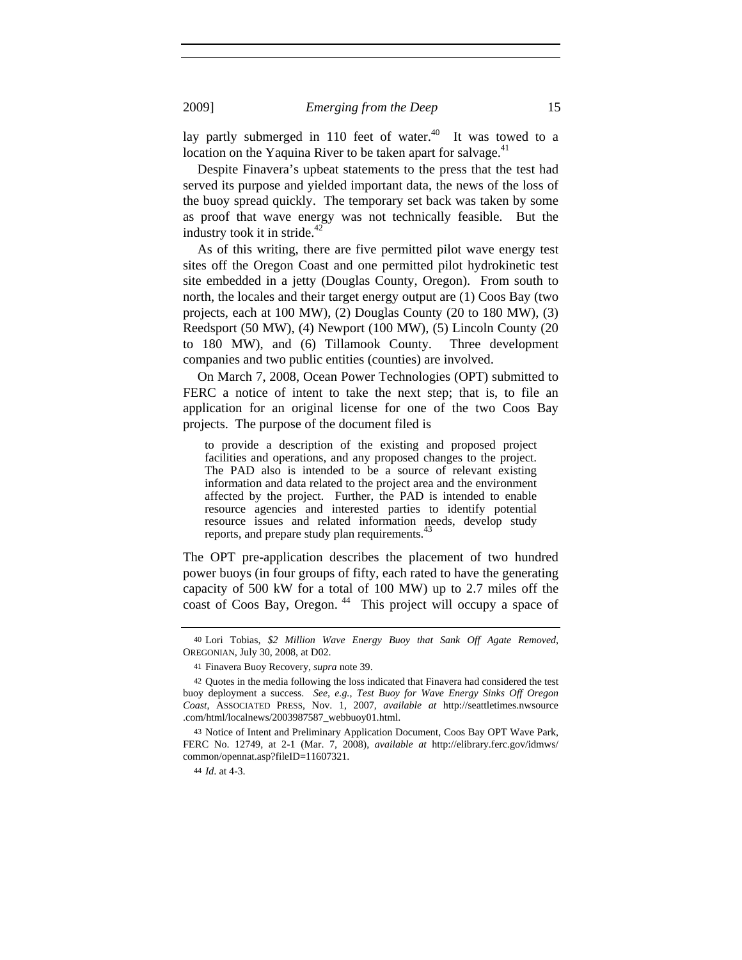lay partly submerged in 110 feet of water.<sup>40</sup> It was towed to a location on the Yaquina River to be taken apart for salvage.<sup>41</sup>

Despite Finavera's upbeat statements to the press that the test had served its purpose and yielded important data, the news of the loss of the buoy spread quickly. The temporary set back was taken by some as proof that wave energy was not technically feasible. But the industry took it in stride.<sup>42</sup>

As of this writing, there are five permitted pilot wave energy test sites off the Oregon Coast and one permitted pilot hydrokinetic test site embedded in a jetty (Douglas County, Oregon).From south to north, the locales and their target energy output are (1) Coos Bay (two projects, each at 100 MW), (2) Douglas County (20 to 180 MW), (3) Reedsport (50 MW), (4) Newport (100 MW), (5) Lincoln County (20 to 180 MW), and (6) Tillamook County. Three development companies and two public entities (counties) are involved.

On March 7, 2008, Ocean Power Technologies (OPT) submitted to FERC a notice of intent to take the next step; that is, to file an application for an original license for one of the two Coos Bay projects. The purpose of the document filed is

to provide a description of the existing and proposed project facilities and operations, and any proposed changes to the project. The PAD also is intended to be a source of relevant existing information and data related to the project area and the environment affected by the project. Further, the PAD is intended to enable resource agencies and interested parties to identify potential resource issues and related information needs, develop study reports, and prepare study plan requirements.

The OPT pre-application describes the placement of two hundred power buoys (in four groups of fifty, each rated to have the generating capacity of 500 kW for a total of 100 MW) up to 2.7 miles off the coast of Coos Bay, Oregon.<sup>44</sup> This project will occupy a space of

<sup>40</sup> Lori Tobias, *\$2 Million Wave Energy Buoy that Sank Off Agate Removed*, OREGONIAN, July 30, 2008, at D02.

<sup>41</sup> Finavera Buoy Recovery, *supra* note 39.

<sup>42</sup> Quotes in the media following the loss indicated that Finavera had considered the test buoy deployment a success. *See, e.g.*, *Test Buoy for Wave Energy Sinks Off Oregon Coast*, ASSOCIATED PRESS, Nov. 1, 2007, *available at* http://seattletimes.nwsource .com/html/localnews/2003987587\_webbuoy01.html.

<sup>43</sup> Notice of Intent and Preliminary Application Document, Coos Bay OPT Wave Park, FERC No. 12749, at 2-1 (Mar. 7, 2008), *available at* http://elibrary.ferc.gov/idmws/ common/opennat.asp?fileID=11607321.

<sup>44</sup> *Id*. at 4-3.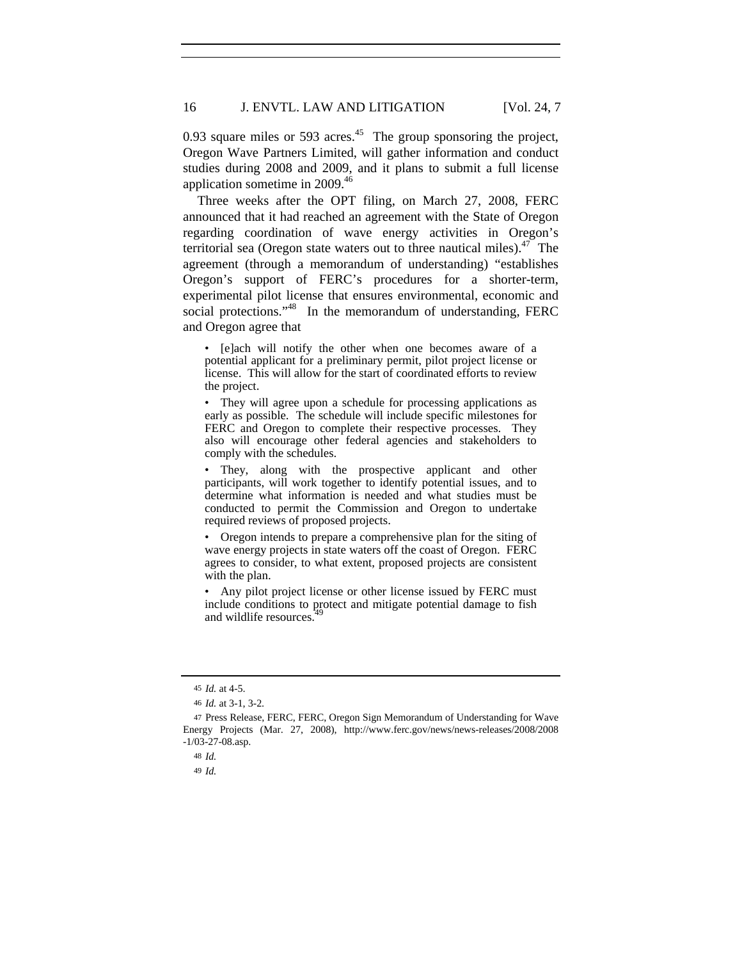0.93 square miles or 593 acres. $45$  The group sponsoring the project, Oregon Wave Partners Limited, will gather information and conduct studies during 2008 and 2009, and it plans to submit a full license application sometime in 2009.46

Three weeks after the OPT filing, on March 27, 2008, FERC announced that it had reached an agreement with the State of Oregon regarding coordination of wave energy activities in Oregon's territorial sea (Oregon state waters out to three nautical miles). $47$  The agreement (through a memorandum of understanding) "establishes Oregon's support of FERC's procedures for a shorter-term, experimental pilot license that ensures environmental, economic and social protections."<sup>48</sup> In the memorandum of understanding, FERC and Oregon agree that

• [e]ach will notify the other when one becomes aware of a potential applicant for a preliminary permit, pilot project license or license. This will allow for the start of coordinated efforts to review the project.

• They will agree upon a schedule for processing applications as early as possible. The schedule will include specific milestones for FERC and Oregon to complete their respective processes. They also will encourage other federal agencies and stakeholders to comply with the schedules.

• They, along with the prospective applicant and other participants, will work together to identify potential issues, and to determine what information is needed and what studies must be conducted to permit the Commission and Oregon to undertake required reviews of proposed projects.

• Oregon intends to prepare a comprehensive plan for the siting of wave energy projects in state waters off the coast of Oregon. FERC agrees to consider, to what extent, proposed projects are consistent with the plan.

• Any pilot project license or other license issued by FERC must include conditions to protect and mitigate potential damage to fish and wildlife resources.

<sup>45</sup> *Id.* at 4-5.

<sup>46</sup> *Id.* at 3-1, 3-2.

<sup>47</sup> Press Release, FERC, FERC, Oregon Sign Memorandum of Understanding for Wave Energy Projects (Mar. 27, 2008), http://www.ferc.gov/news/news-releases/2008/2008 -1/03-27-08.asp.

<sup>48</sup> *Id.*

<sup>49</sup> *Id.*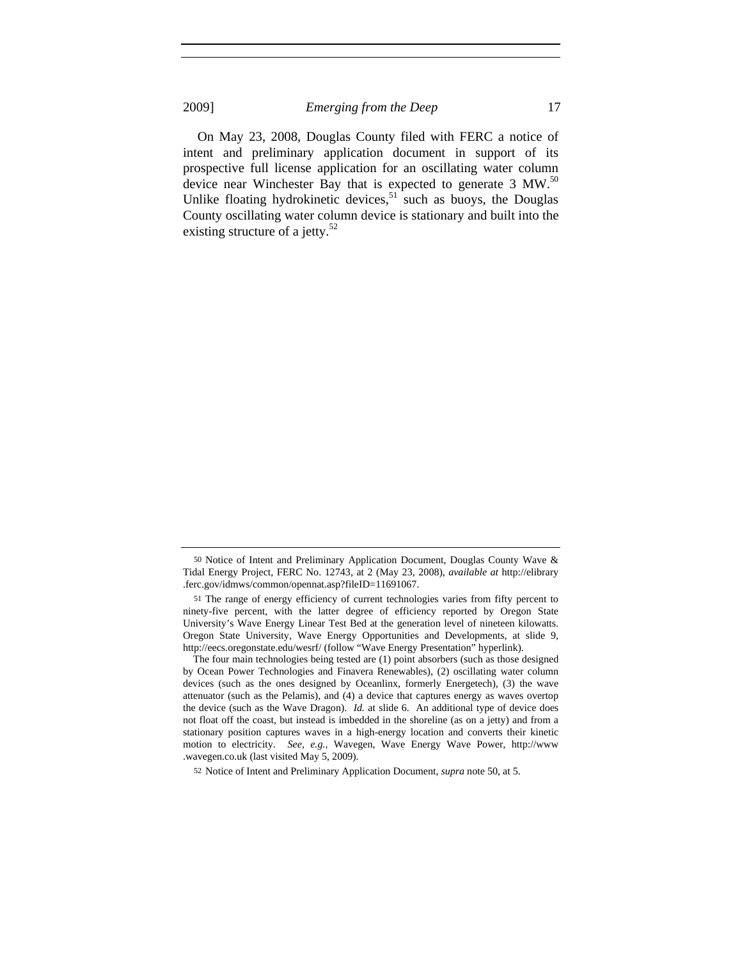On May 23, 2008, Douglas County filed with FERC a notice of intent and preliminary application document in support of its prospective full license application for an oscillating water column device near Winchester Bay that is expected to generate  $3 \text{ MW}^{50}$ Unlike floating hydrokinetic devices, $51$  such as buoys, the Douglas County oscillating water column device is stationary and built into the existing structure of a jetty.<sup>52</sup>

<sup>50</sup> Notice of Intent and Preliminary Application Document, Douglas County Wave & Tidal Energy Project, FERC No. 12743, at 2 (May 23, 2008), *available at* http://elibrary .ferc.gov/idmws/common/opennat.asp?fileID=11691067.

<sup>51</sup> The range of energy efficiency of current technologies varies from fifty percent to ninety-five percent, with the latter degree of efficiency reported by Oregon State University's Wave Energy Linear Test Bed at the generation level of nineteen kilowatts. Oregon State University, Wave Energy Opportunities and Developments, at slide 9, http://eecs.oregonstate.edu/wesrf/ (follow "Wave Energy Presentation" hyperlink).

The four main technologies being tested are (1) point absorbers (such as those designed by Ocean Power Technologies and Finavera Renewables), (2) oscillating water column devices (such as the ones designed by Oceanlinx, formerly Energetech), (3) the wave attenuator (such as the Pelamis), and (4) a device that captures energy as waves overtop the device (such as the Wave Dragon). *Id.* at slide 6. An additional type of device does not float off the coast, but instead is imbedded in the shoreline (as on a jetty) and from a stationary position captures waves in a high-energy location and converts their kinetic motion to electricity. *See, e.g.*, Wavegen, Wave Energy Wave Power, http://www .wavegen.co.uk (last visited May 5, 2009).

<sup>52</sup> Notice of Intent and Preliminary Application Document, *supra* note 50, at 5.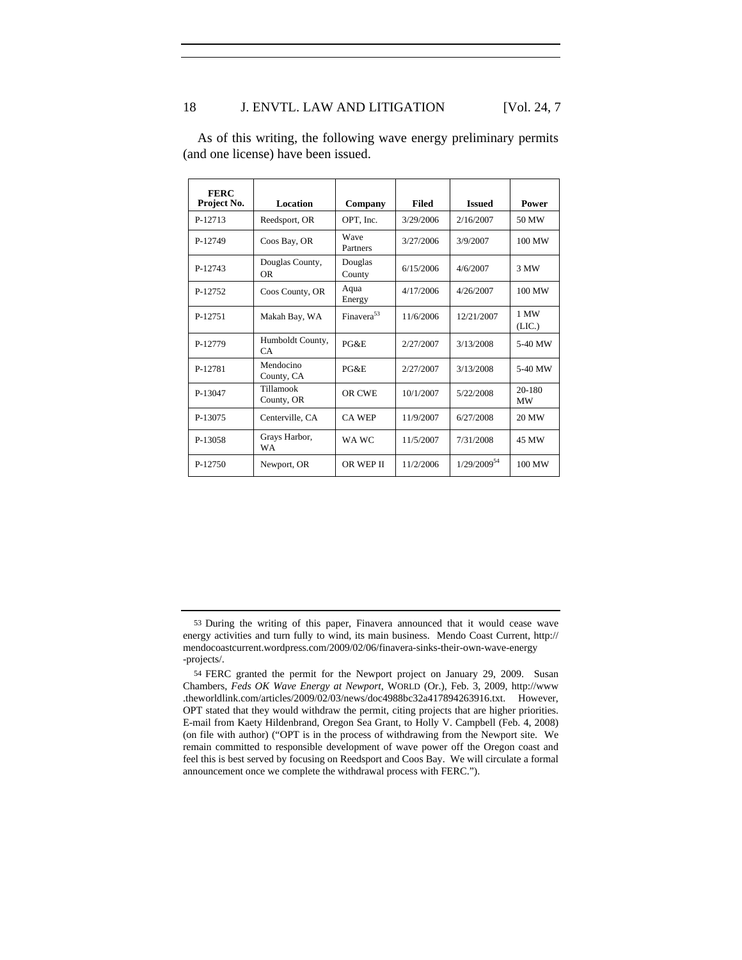# 18 J. ENVTL. LAW AND LITIGATION [Vol. 24, 7

| <b>FERC</b><br>Project No. | Location                     | Company                 | <b>Filed</b> | <b>Issued</b>           | Power               |
|----------------------------|------------------------------|-------------------------|--------------|-------------------------|---------------------|
| P-12713                    | Reedsport, OR                | OPT, Inc.               | 3/29/2006    | 2/16/2007               | 50 MW               |
| P-12749                    | Coos Bay, OR                 | <b>Wave</b><br>Partners | 3/27/2006    | 3/9/2007                | 100 MW              |
| P-12743                    | Douglas County,<br><b>OR</b> | Douglas<br>County       | 6/15/2006    | 4/6/2007                | 3 MW                |
| P-12752                    | Coos County, OR              | Aqua<br>Energy          | 4/17/2006    | 4/26/2007               | 100 MW              |
| P-12751                    | Makah Bay, WA                | Finavera <sup>53</sup>  | 11/6/2006    | 12/21/2007              | 1 MW<br>(LIC.)      |
| P-12779                    | Humboldt County,<br>CA.      | PG&E                    | 2/27/2007    | 3/13/2008               | 5-40 MW             |
| P-12781                    | Mendocino<br>County, CA      | PG&E                    | 2/27/2007    | 3/13/2008               | 5-40 MW             |
| P-13047                    | Tillamook<br>County, OR      | OR CWE                  | 10/1/2007    | 5/22/2008               | 20-180<br><b>MW</b> |
| P-13075                    | Centerville, CA              | <b>CA WEP</b>           | 11/9/2007    | 6/27/2008               | 20 MW               |
| P-13058                    | Grays Harbor,<br><b>WA</b>   | WA WC                   | 11/5/2007    | 7/31/2008               | 45 MW               |
| P-12750                    | Newport, OR                  | OR WEP II               | 11/2/2006    | 1/29/2009 <sup>54</sup> | 100 MW              |

As of this writing, the following wave energy preliminary permits (and one license) have been issued.

<sup>53</sup> During the writing of this paper, Finavera announced that it would cease wave energy activities and turn fully to wind, its main business. Mendo Coast Current, http:// mendocoastcurrent.wordpress.com/2009/02/06/finavera-sinks-their-own-wave-energy -projects/.

<sup>54</sup> FERC granted the permit for the Newport project on January 29, 2009. Susan Chambers, *Feds OK Wave Energy at Newport*, WORLD (Or.), Feb. 3, 2009, http://www .theworldlink.com/articles/2009/02/03/news/doc4988bc32a417894263916.txt. However, OPT stated that they would withdraw the permit, citing projects that are higher priorities. E-mail from Kaety Hildenbrand, Oregon Sea Grant, to Holly V. Campbell (Feb. 4, 2008) (on file with author) ("OPT is in the process of withdrawing from the Newport site. We remain committed to responsible development of wave power off the Oregon coast and feel this is best served by focusing on Reedsport and Coos Bay. We will circulate a formal announcement once we complete the withdrawal process with FERC.").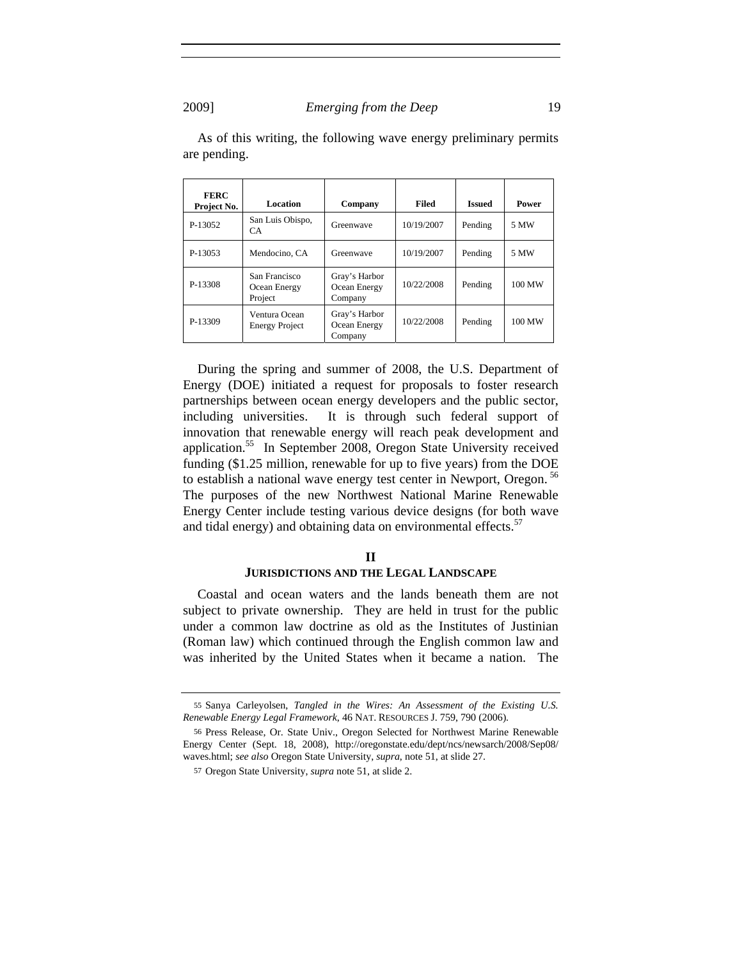| <b>FERC</b><br>Project No. | Location                                 | Company                                  | <b>Filed</b> | <b>Issued</b> | Power  |
|----------------------------|------------------------------------------|------------------------------------------|--------------|---------------|--------|
| P-13052                    | San Luis Obispo,<br>CA                   | Greenwaye                                | 10/19/2007   | Pending       | 5 MW   |
| P-13053                    | Mendocino, CA                            | Greenwave                                | 10/19/2007   | Pending       | 5 MW   |
| P-13308                    | San Francisco<br>Ocean Energy<br>Project | Gray's Harbor<br>Ocean Energy<br>Company | 10/22/2008   | Pending       | 100 MW |
| P-13309                    | Ventura Ocean<br><b>Energy Project</b>   | Gray's Harbor<br>Ocean Energy<br>Company | 10/22/2008   | Pending       | 100 MW |

As of this writing, the following wave energy preliminary permits are pending.

During the spring and summer of 2008, the U.S. Department of Energy (DOE) initiated a request for proposals to foster research partnerships between ocean energy developers and the public sector, including universities. It is through such federal support of innovation that renewable energy will reach peak development and application.55 In September 2008, Oregon State University received funding (\$1.25 million, renewable for up to five years) from the DOE to establish a national wave energy test center in Newport, Oregon.<sup>56</sup> The purposes of the new Northwest National Marine Renewable Energy Center include testing various device designs (for both wave and tidal energy) and obtaining data on environmental effects.<sup>57</sup>

## **II JURISDICTIONS AND THE LEGAL LANDSCAPE**

Coastal and ocean waters and the lands beneath them are not subject to private ownership. They are held in trust for the public under a common law doctrine as old as the Institutes of Justinian (Roman law) which continued through the English common law and was inherited by the United States when it became a nation. The

<sup>55</sup> Sanya Carleyolsen, *Tangled in the Wires: An Assessment of the Existing U.S. Renewable Energy Legal Framework*, 46 NAT. RESOURCES J. 759, 790 (2006).

<sup>56</sup> Press Release, Or. State Univ., Oregon Selected for Northwest Marine Renewable Energy Center (Sept. 18, 2008), http://oregonstate.edu/dept/ncs/newsarch/2008/Sep08/ waves.html; *see also* Oregon State University, *supra*, note 51, at slide 27.

<sup>57</sup> Oregon State University, *supra* note 51, at slide 2.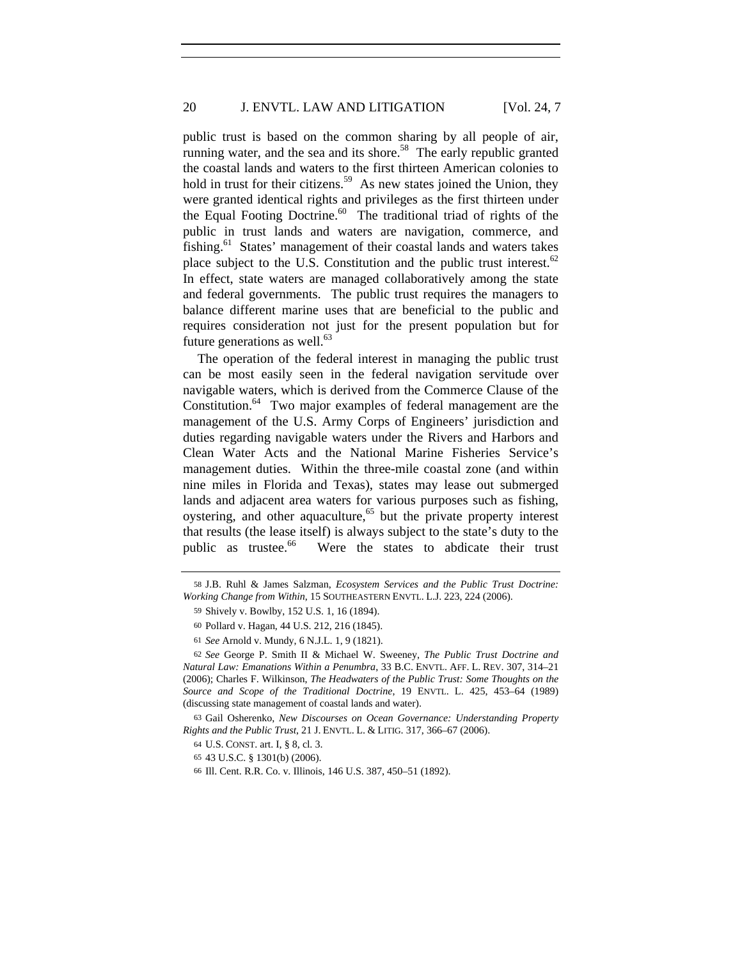public trust is based on the common sharing by all people of air, running water, and the sea and its shore.<sup>58</sup> The early republic granted the coastal lands and waters to the first thirteen American colonies to hold in trust for their citizens.<sup>59</sup> As new states joined the Union, they were granted identical rights and privileges as the first thirteen under the Equal Footing Doctrine.<sup>60</sup> The traditional triad of rights of the public in trust lands and waters are navigation, commerce, and fishing.<sup>61</sup> States' management of their coastal lands and waters takes place subject to the U.S. Constitution and the public trust interest. $62$ In effect, state waters are managed collaboratively among the state and federal governments. The public trust requires the managers to balance different marine uses that are beneficial to the public and requires consideration not just for the present population but for future generations as well. $^{63}$ 

The operation of the federal interest in managing the public trust can be most easily seen in the federal navigation servitude over navigable waters, which is derived from the Commerce Clause of the Constitution. $64$  Two major examples of federal management are the management of the U.S. Army Corps of Engineers' jurisdiction and duties regarding navigable waters under the Rivers and Harbors and Clean Water Acts and the National Marine Fisheries Service's management duties. Within the three-mile coastal zone (and within nine miles in Florida and Texas), states may lease out submerged lands and adjacent area waters for various purposes such as fishing, oystering, and other aquaculture,<sup>65</sup> but the private property interest that results (the lease itself) is always subject to the state's duty to the public as trustee.<sup>66</sup> Were the states to abdicate their trust

<sup>58</sup> J.B. Ruhl & James Salzman, *Ecosystem Services and the Public Trust Doctrine: Working Change from Within*, 15 SOUTHEASTERN ENVTL. L.J. 223, 224 (2006).

<sup>59</sup> Shively v. Bowlby, 152 U.S. 1, 16 (1894).

<sup>60</sup> Pollard v. Hagan, 44 U.S. 212, 216 (1845).

<sup>61</sup> *See* Arnold v. Mundy, 6 N.J.L. 1, 9 (1821).

<sup>62</sup> *See* George P. Smith II & Michael W. Sweeney, *The Public Trust Doctrine and Natural Law: Emanations Within a Penumbra*, 33 B.C. ENVTL. AFF. L. REV. 307, 314–21 (2006); Charles F. Wilkinson, *The Headwaters of the Public Trust: Some Thoughts on the Source and Scope of the Traditional Doctrine*, 19 ENVTL. L. 425, 453–64 (1989) (discussing state management of coastal lands and water).

<sup>63</sup> Gail Osherenko, *New Discourses on Ocean Governance: Understanding Property Rights and the Public Trust*, 21 J. ENVTL. L. & LITIG. 317, 366–67 (2006).

<sup>64</sup> U.S. CONST. art. I, § 8, cl. 3.

<sup>65</sup> 43 U.S.C. § 1301(b) (2006).

<sup>66</sup> Ill. Cent. R.R. Co. v. Illinois, 146 U.S. 387, 450–51 (1892).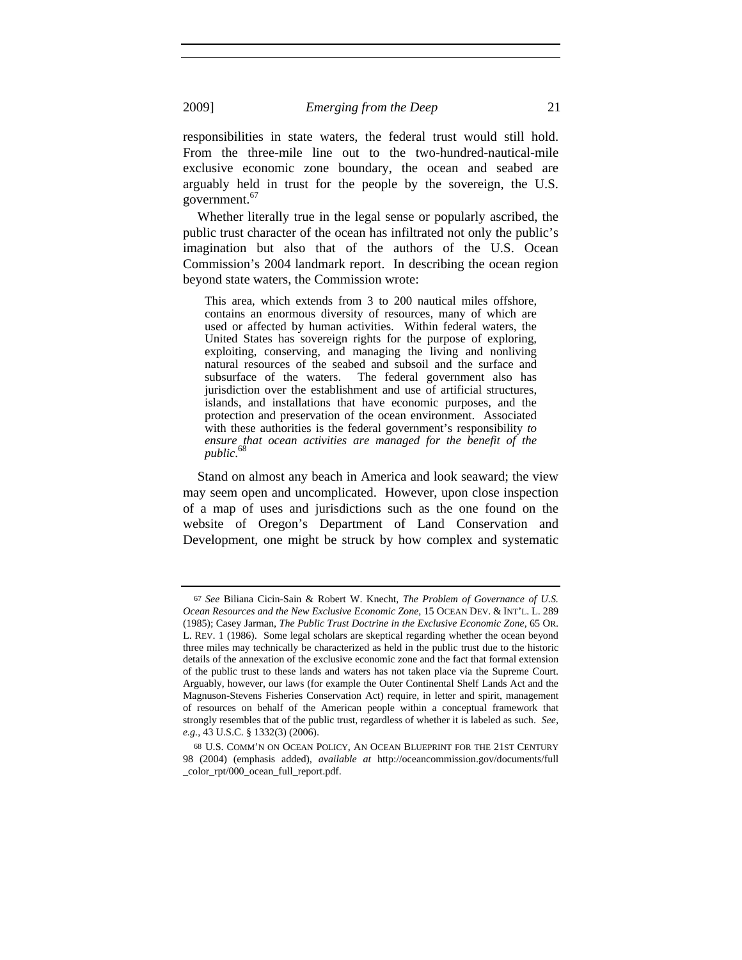responsibilities in state waters, the federal trust would still hold. From the three-mile line out to the two-hundred-nautical-mile exclusive economic zone boundary, the ocean and seabed are arguably held in trust for the people by the sovereign, the U.S. government.<sup>67</sup>

Whether literally true in the legal sense or popularly ascribed, the public trust character of the ocean has infiltrated not only the public's imagination but also that of the authors of the U.S. Ocean Commission's 2004 landmark report. In describing the ocean region beyond state waters, the Commission wrote:

This area, which extends from 3 to 200 nautical miles offshore, contains an enormous diversity of resources, many of which are used or affected by human activities. Within federal waters, the United States has sovereign rights for the purpose of exploring, exploiting, conserving, and managing the living and nonliving natural resources of the seabed and subsoil and the surface and subsurface of the waters. The federal government also has jurisdiction over the establishment and use of artificial structures, islands, and installations that have economic purposes, and the protection and preservation of the ocean environment. Associated with these authorities is the federal government's responsibility *to ensure that ocean activities are managed for the benefit of the public*. 68

Stand on almost any beach in America and look seaward; the view may seem open and uncomplicated. However, upon close inspection of a map of uses and jurisdictions such as the one found on the website of Oregon's Department of Land Conservation and Development, one might be struck by how complex and systematic

<sup>67</sup> *See* Biliana Cicin-Sain & Robert W. Knecht, *The Problem of Governance of U.S. Ocean Resources and the New Exclusive Economic Zone*, 15 OCEAN DEV. & INT'L. L. 289 (1985); Casey Jarman, *The Public Trust Doctrine in the Exclusive Economic Zone*, 65 OR. L. REV. 1 (1986). Some legal scholars are skeptical regarding whether the ocean beyond three miles may technically be characterized as held in the public trust due to the historic details of the annexation of the exclusive economic zone and the fact that formal extension of the public trust to these lands and waters has not taken place via the Supreme Court. Arguably, however, our laws (for example the Outer Continental Shelf Lands Act and the Magnuson-Stevens Fisheries Conservation Act) require, in letter and spirit, management of resources on behalf of the American people within a conceptual framework that strongly resembles that of the public trust, regardless of whether it is labeled as such. *See, e.g.*, 43 U.S.C. § 1332(3) (2006).

<sup>68</sup> U.S. COMM'N ON OCEAN POLICY, AN OCEAN BLUEPRINT FOR THE 21ST CENTURY 98 (2004) (emphasis added), *available at* http://oceancommission.gov/documents/full \_color\_rpt/000\_ocean\_full\_report.pdf.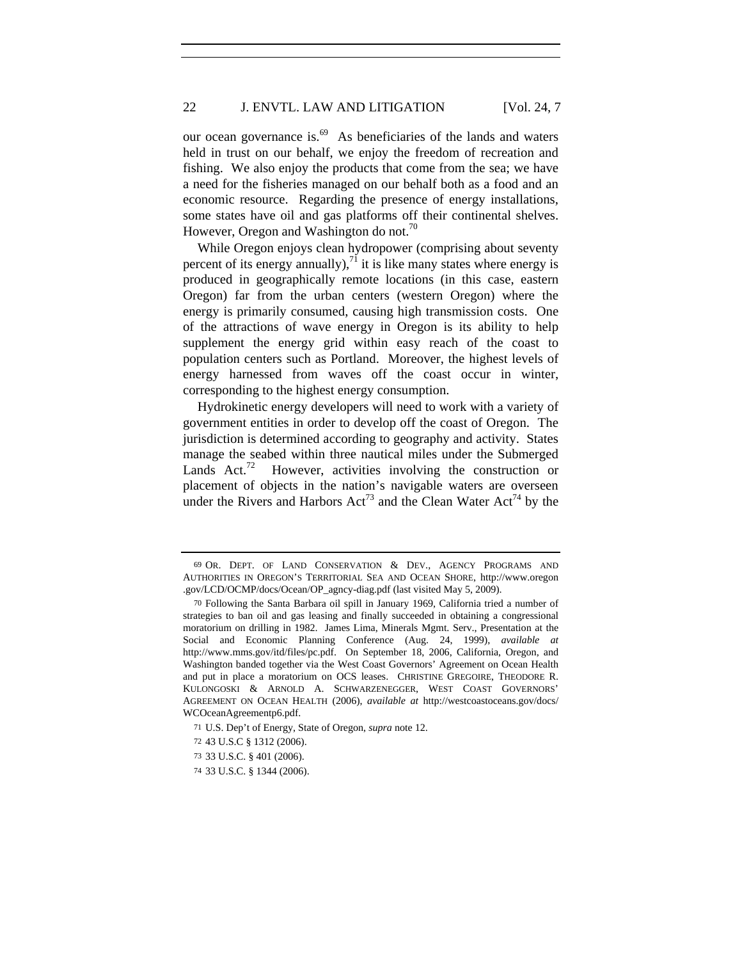our ocean governance is. $^{69}$  As beneficiaries of the lands and waters held in trust on our behalf, we enjoy the freedom of recreation and fishing. We also enjoy the products that come from the sea; we have a need for the fisheries managed on our behalf both as a food and an economic resource. Regarding the presence of energy installations, some states have oil and gas platforms off their continental shelves. However, Oregon and Washington do not. $\frac{70}{6}$ 

While Oregon enjoys clean hydropower (comprising about seventy percent of its energy annually), $^{71}$  it is like many states where energy is produced in geographically remote locations (in this case, eastern Oregon) far from the urban centers (western Oregon) where the energy is primarily consumed, causing high transmission costs. One of the attractions of wave energy in Oregon is its ability to help supplement the energy grid within easy reach of the coast to population centers such as Portland. Moreover, the highest levels of energy harnessed from waves off the coast occur in winter, corresponding to the highest energy consumption.

Hydrokinetic energy developers will need to work with a variety of government entities in order to develop off the coast of Oregon. The jurisdiction is determined according to geography and activity. States manage the seabed within three nautical miles under the Submerged Lands Act.<sup>72</sup> However, activities involving the construction or placement of objects in the nation's navigable waters are overseen under the Rivers and Harbors  $Act^{73}$  and the Clean Water  $Act^{74}$  by the

<sup>69</sup> OR. DEPT. OF LAND CONSERVATION & DEV., AGENCY PROGRAMS AND AUTHORITIES IN OREGON'S TERRITORIAL SEA AND OCEAN SHORE, http://www.oregon .gov/LCD/OCMP/docs/Ocean/OP\_agncy-diag.pdf (last visited May 5, 2009).

<sup>70</sup> Following the Santa Barbara oil spill in January 1969, California tried a number of strategies to ban oil and gas leasing and finally succeeded in obtaining a congressional moratorium on drilling in 1982. James Lima, Minerals Mgmt. Serv., Presentation at the Social and Economic Planning Conference (Aug. 24, 1999), *available at* http://www.mms.gov/itd/files/pc.pdf. On September 18, 2006, California, Oregon, and Washington banded together via the West Coast Governors' Agreement on Ocean Health and put in place a moratorium on OCS leases. CHRISTINE GREGOIRE, THEODORE R. KULONGOSKI & ARNOLD A. SCHWARZENEGGER, WEST COAST GOVERNORS' AGREEMENT ON OCEAN HEALTH (2006), *available at* http://westcoastoceans.gov/docs/ WCOceanAgreementp6.pdf.

<sup>71</sup> U.S. Dep't of Energy, State of Oregon, *supra* note 12.

<sup>72</sup> 43 U.S.C § 1312 (2006).

<sup>73</sup> 33 U.S.C. § 401 (2006).

<sup>74</sup> 33 U.S.C. § 1344 (2006).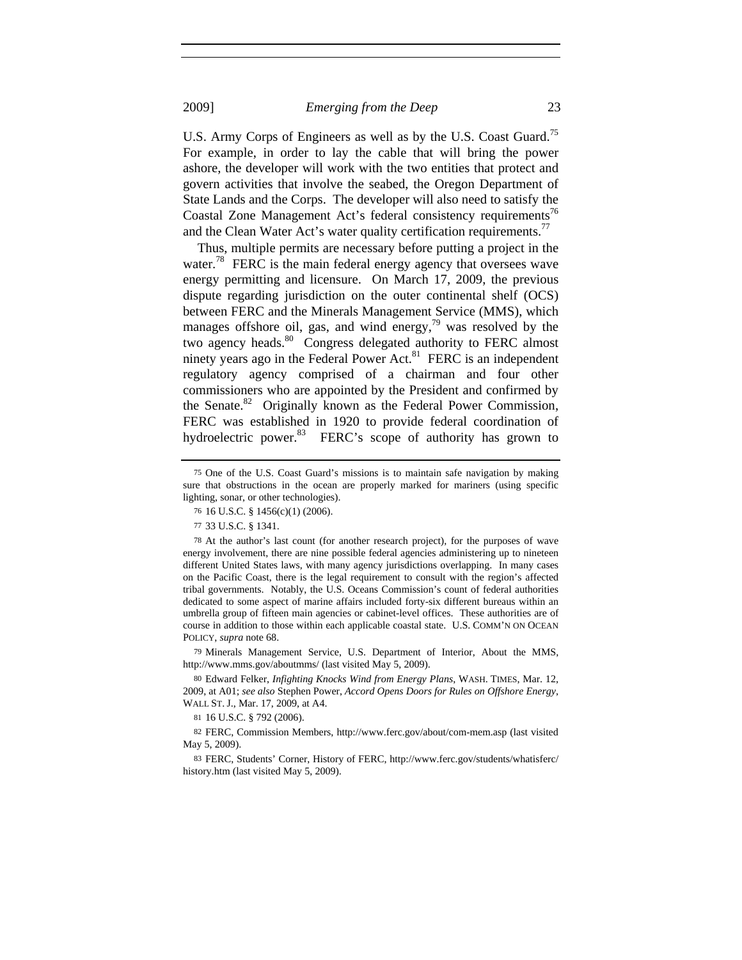U.S. Army Corps of Engineers as well as by the U.S. Coast Guard.<sup>75</sup> For example, in order to lay the cable that will bring the power ashore, the developer will work with the two entities that protect and govern activities that involve the seabed, the Oregon Department of State Lands and the Corps. The developer will also need to satisfy the Coastal Zone Management Act's federal consistency requirements<sup>76</sup> and the Clean Water Act's water quality certification requirements.<sup>77</sup>

Thus, multiple permits are necessary before putting a project in the water.<sup>78</sup> FERC is the main federal energy agency that oversees wave energy permitting and licensure. On March 17, 2009, the previous dispute regarding jurisdiction on the outer continental shelf (OCS) between FERC and the Minerals Management Service (MMS), which manages offshore oil, gas, and wind energy, $79$  was resolved by the two agency heads.<sup>80</sup> Congress delegated authority to FERC almost ninety years ago in the Federal Power Act.<sup>81</sup> FERC is an independent regulatory agency comprised of a chairman and four other commissioners who are appointed by the President and confirmed by the Senate.<sup>82</sup> Originally known as the Federal Power Commission, FERC was established in 1920 to provide federal coordination of hydroelectric power.<sup>83</sup> FERC's scope of authority has grown to

79 Minerals Management Service, U.S. Department of Interior, About the MMS, http://www.mms.gov/aboutmms/ (last visited May 5, 2009).

81 16 U.S.C. § 792 (2006).

82 FERC, Commission Members, http://www.ferc.gov/about/com-mem.asp (last visited May 5, 2009).

83 FERC, Students' Corner, History of FERC, http://www.ferc.gov/students/whatisferc/ history.htm (last visited May 5, 2009).

<sup>75</sup> One of the U.S. Coast Guard's missions is to maintain safe navigation by making sure that obstructions in the ocean are properly marked for mariners (using specific lighting, sonar, or other technologies).

<sup>76</sup> 16 U.S.C. § 1456(c)(1) (2006).

<sup>77</sup> 33 U.S.C. § 1341.

<sup>78</sup> At the author's last count (for another research project), for the purposes of wave energy involvement, there are nine possible federal agencies administering up to nineteen different United States laws, with many agency jurisdictions overlapping. In many cases on the Pacific Coast, there is the legal requirement to consult with the region's affected tribal governments. Notably, the U.S. Oceans Commission's count of federal authorities dedicated to some aspect of marine affairs included forty-six different bureaus within an umbrella group of fifteen main agencies or cabinet-level offices. These authorities are of course in addition to those within each applicable coastal state. U.S. COMM'N ON OCEAN POLICY, *supra* note 68.

<sup>80</sup> Edward Felker, *Infighting Knocks Wind from Energy Plans*, WASH. TIMES, Mar. 12, 2009, at A01; *see also* Stephen Power, *Accord Opens Doors for Rules on Offshore Energy*, WALL ST. J., Mar. 17, 2009, at A4.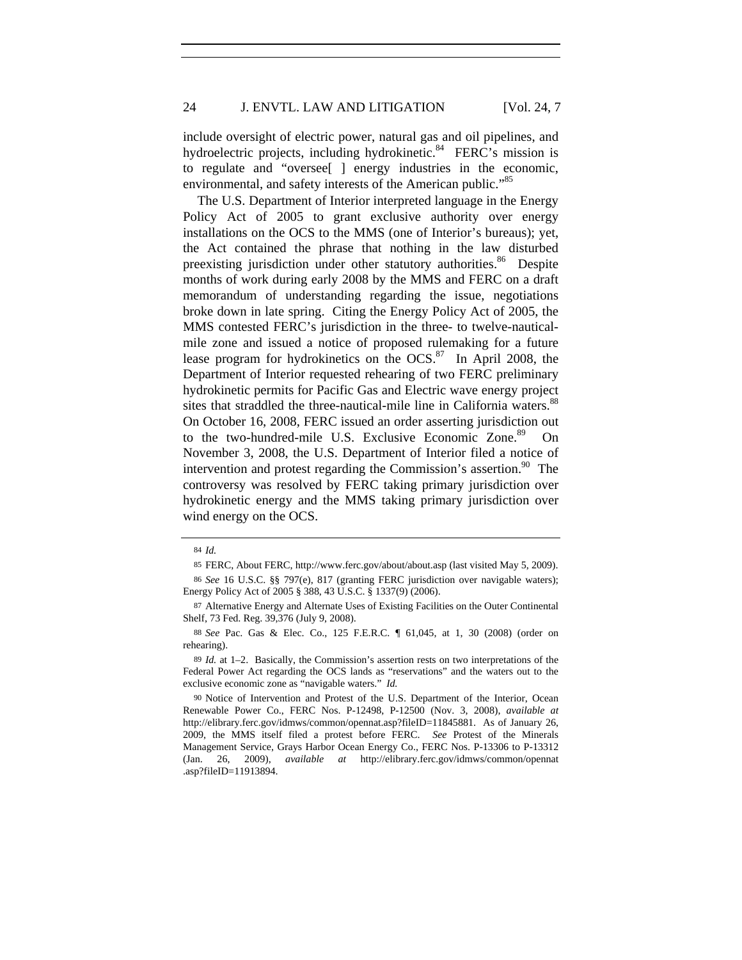include oversight of electric power, natural gas and oil pipelines, and hydroelectric projects, including hydrokinetic.<sup>84</sup> FERC's mission is to regulate and "oversee[ ] energy industries in the economic, environmental, and safety interests of the American public."<sup>85</sup>

The U.S. Department of Interior interpreted language in the Energy Policy Act of 2005 to grant exclusive authority over energy installations on the OCS to the MMS (one of Interior's bureaus); yet, the Act contained the phrase that nothing in the law disturbed preexisting jurisdiction under other statutory authorities.<sup>86</sup> Despite months of work during early 2008 by the MMS and FERC on a draft memorandum of understanding regarding the issue, negotiations broke down in late spring. Citing the Energy Policy Act of 2005, the MMS contested FERC's jurisdiction in the three- to twelve-nauticalmile zone and issued a notice of proposed rulemaking for a future lease program for hydrokinetics on the  $OCS$ .<sup>87</sup> In April 2008, the Department of Interior requested rehearing of two FERC preliminary hydrokinetic permits for Pacific Gas and Electric wave energy project sites that straddled the three-nautical-mile line in California waters.<sup>88</sup> On October 16, 2008, FERC issued an order asserting jurisdiction out to the two-hundred-mile U.S. Exclusive Economic Zone.<sup>89</sup> On November 3, 2008, the U.S. Department of Interior filed a notice of intervention and protest regarding the Commission's assertion. $90$  The controversy was resolved by FERC taking primary jurisdiction over hydrokinetic energy and the MMS taking primary jurisdiction over wind energy on the OCS.

<sup>84</sup> *Id.*

<sup>85</sup> FERC, About FERC, http://www.ferc.gov/about/about.asp (last visited May 5, 2009).

<sup>86</sup> *See* 16 U.S.C. §§ 797(e), 817 (granting FERC jurisdiction over navigable waters); Energy Policy Act of 2005 § 388, 43 U.S.C. § 1337(9) (2006).

<sup>87</sup> Alternative Energy and Alternate Uses of Existing Facilities on the Outer Continental Shelf, 73 Fed. Reg. 39,376 (July 9, 2008).

<sup>88</sup> *See* Pac. Gas & Elec. Co., 125 F.E.R.C. ¶ 61,045, at 1, 30 (2008) (order on rehearing).

<sup>89</sup> *Id.* at 1–2. Basically, the Commission's assertion rests on two interpretations of the Federal Power Act regarding the OCS lands as "reservations" and the waters out to the exclusive economic zone as "navigable waters." *Id.*

<sup>90</sup> Notice of Intervention and Protest of the U.S. Department of the Interior, Ocean Renewable Power Co., FERC Nos. P-12498, P-12500 (Nov. 3, 2008), *available at* http://elibrary.ferc.gov/idmws/common/opennat.asp?fileID=11845881. As of January 26, 2009, the MMS itself filed a protest before FERC. *See* Protest of the Minerals Management Service, Grays Harbor Ocean Energy Co., FERC Nos. P-13306 to P-13312 (Jan. 26, 2009), *available at* http://elibrary.ferc.gov/idmws/common/opennat .asp?fileID=11913894.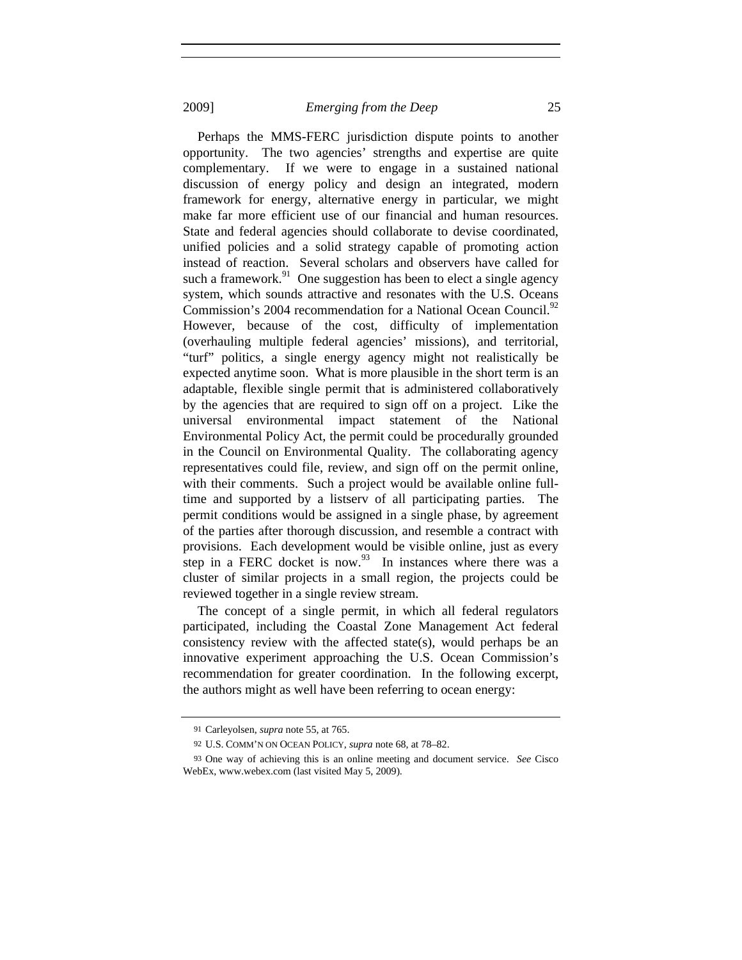Perhaps the MMS-FERC jurisdiction dispute points to another opportunity. The two agencies' strengths and expertise are quite complementary. If we were to engage in a sustained national discussion of energy policy and design an integrated, modern framework for energy, alternative energy in particular, we might make far more efficient use of our financial and human resources. State and federal agencies should collaborate to devise coordinated, unified policies and a solid strategy capable of promoting action instead of reaction. Several scholars and observers have called for such a framework.<sup>91</sup> One suggestion has been to elect a single agency system, which sounds attractive and resonates with the U.S. Oceans Commission's 2004 recommendation for a National Ocean Council.<sup>92</sup> However, because of the cost, difficulty of implementation (overhauling multiple federal agencies' missions), and territorial, "turf" politics, a single energy agency might not realistically be expected anytime soon. What is more plausible in the short term is an adaptable, flexible single permit that is administered collaboratively by the agencies that are required to sign off on a project. Like the universal environmental impact statement of the National Environmental Policy Act, the permit could be procedurally grounded in the Council on Environmental Quality. The collaborating agency representatives could file, review, and sign off on the permit online, with their comments. Such a project would be available online fulltime and supported by a listserv of all participating parties. The permit conditions would be assigned in a single phase, by agreement of the parties after thorough discussion, and resemble a contract with provisions. Each development would be visible online, just as every step in a FERC docket is now. $93$  In instances where there was a cluster of similar projects in a small region, the projects could be reviewed together in a single review stream.

The concept of a single permit, in which all federal regulators participated, including the Coastal Zone Management Act federal consistency review with the affected state(s), would perhaps be an innovative experiment approaching the U.S. Ocean Commission's recommendation for greater coordination. In the following excerpt, the authors might as well have been referring to ocean energy:

<sup>91</sup> Carleyolsen, *supra* note 55, at 765.

<sup>92</sup> U.S. COMM'N ON OCEAN POLICY, *supra* note 68, at 78–82.

<sup>93</sup> One way of achieving this is an online meeting and document service. *See* Cisco WebEx, www.webex.com (last visited May 5, 2009).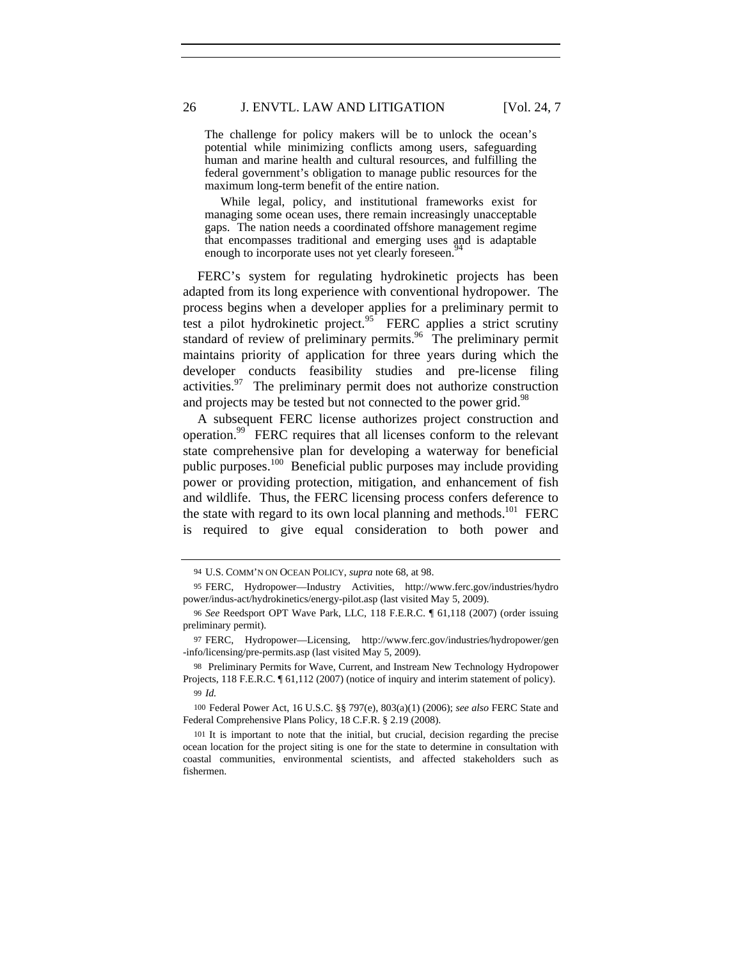The challenge for policy makers will be to unlock the ocean's potential while minimizing conflicts among users, safeguarding human and marine health and cultural resources, and fulfilling the federal government's obligation to manage public resources for the maximum long-term benefit of the entire nation.

 While legal, policy, and institutional frameworks exist for managing some ocean uses, there remain increasingly unacceptable gaps. The nation needs a coordinated offshore management regime that encompasses traditional and emerging uses and is adaptable enough to incorporate uses not yet clearly foreseen.<sup>9</sup>

FERC's system for regulating hydrokinetic projects has been adapted from its long experience with conventional hydropower. The process begins when a developer applies for a preliminary permit to test a pilot hydrokinetic project.<sup>95</sup> FERC applies a strict scrutiny standard of review of preliminary permits.<sup>96</sup> The preliminary permit maintains priority of application for three years during which the developer conducts feasibility studies and pre-license filing activities. $97$  The preliminary permit does not authorize construction and projects may be tested but not connected to the power grid.<sup>98</sup>

A subsequent FERC license authorizes project construction and operation.99 FERC requires that all licenses conform to the relevant state comprehensive plan for developing a waterway for beneficial public purposes.<sup>100</sup> Beneficial public purposes may include providing power or providing protection, mitigation, and enhancement of fish and wildlife. Thus, the FERC licensing process confers deference to the state with regard to its own local planning and methods.<sup>101</sup> FERC is required to give equal consideration to both power and

<sup>94</sup> U.S. COMM'N ON OCEAN POLICY, *supra* note 68, at 98.

<sup>95</sup> FERC, Hydropower—Industry Activities, http://www.ferc.gov/industries/hydro power/indus-act/hydrokinetics/energy-pilot.asp (last visited May 5, 2009).

<sup>96</sup> *See* Reedsport OPT Wave Park, LLC, 118 F.E.R.C. ¶ 61,118 (2007) (order issuing preliminary permit).

<sup>97</sup> FERC, Hydropower—Licensing, http://www.ferc.gov/industries/hydropower/gen -info/licensing/pre-permits.asp (last visited May 5, 2009).

<sup>98</sup> Preliminary Permits for Wave, Current, and Instream New Technology Hydropower Projects, 118 F.E.R.C.  $\P$  61,112 (2007) (notice of inquiry and interim statement of policy). 99 *Id.*

<sup>100</sup> Federal Power Act, 16 U.S.C. §§ 797(e), 803(a)(1) (2006); *see also* FERC State and Federal Comprehensive Plans Policy, 18 C.F.R. § 2.19 (2008).

<sup>101</sup> It is important to note that the initial, but crucial, decision regarding the precise ocean location for the project siting is one for the state to determine in consultation with coastal communities, environmental scientists, and affected stakeholders such as fishermen.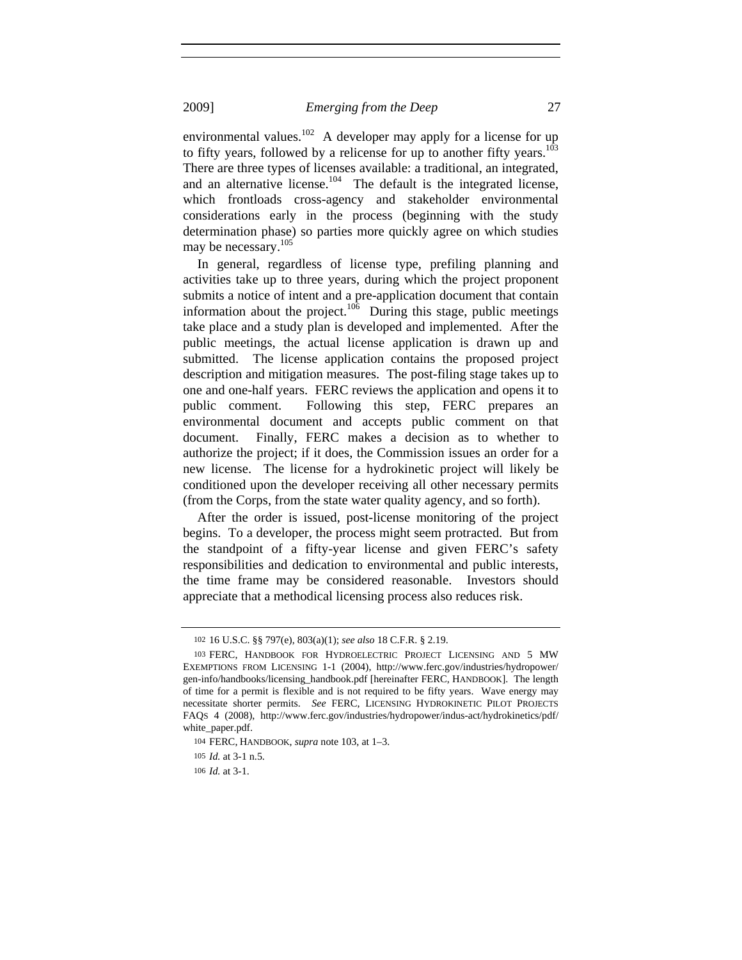environmental values.<sup>102</sup> A developer may apply for a license for up to fifty years, followed by a relicense for up to another fifty years.<sup>103</sup> There are three types of licenses available: a traditional, an integrated, and an alternative license.<sup>104</sup> The default is the integrated license, which frontloads cross-agency and stakeholder environmental considerations early in the process (beginning with the study determination phase) so parties more quickly agree on which studies may be necessary.<sup>105</sup>

In general, regardless of license type, prefiling planning and activities take up to three years, during which the project proponent submits a notice of intent and a pre-application document that contain information about the project.<sup>106</sup> During this stage, public meetings take place and a study plan is developed and implemented. After the public meetings, the actual license application is drawn up and submitted.The license application contains the proposed project description and mitigation measures. The post-filing stage takes up to one and one-half years. FERC reviews the application and opens it to public comment. Following this step, FERC prepares an environmental document and accepts public comment on that document. Finally, FERC makes a decision as to whether to authorize the project; if it does, the Commission issues an order for a new license. The license for a hydrokinetic project will likely be conditioned upon the developer receiving all other necessary permits (from the Corps, from the state water quality agency, and so forth).

After the order is issued, post-license monitoring of the project begins. To a developer, the process might seem protracted. But from the standpoint of a fifty-year license and given FERC's safety responsibilities and dedication to environmental and public interests, the time frame may be considered reasonable. Investors should appreciate that a methodical licensing process also reduces risk.

<sup>102</sup> 16 U.S.C. §§ 797(e), 803(a)(1); *see also* 18 C.F.R. § 2.19.

<sup>103</sup> FERC, HANDBOOK FOR HYDROELECTRIC PROJECT LICENSING AND 5 MW EXEMPTIONS FROM LICENSING 1-1 (2004), http://www.ferc.gov/industries/hydropower/ gen-info/handbooks/licensing\_handbook.pdf [hereinafter FERC, HANDBOOK]. The length of time for a permit is flexible and is not required to be fifty years. Wave energy may necessitate shorter permits. *See* FERC, LICENSING HYDROKINETIC PILOT PROJECTS FAQS 4 (2008), http://www.ferc.gov/industries/hydropower/indus-act/hydrokinetics/pdf/ white\_paper.pdf.

<sup>104</sup> FERC, HANDBOOK, *supra* note 103, at 1–3.

<sup>105</sup> *Id.* at 3-1 n.5.

<sup>106</sup> *Id.* at 3-1.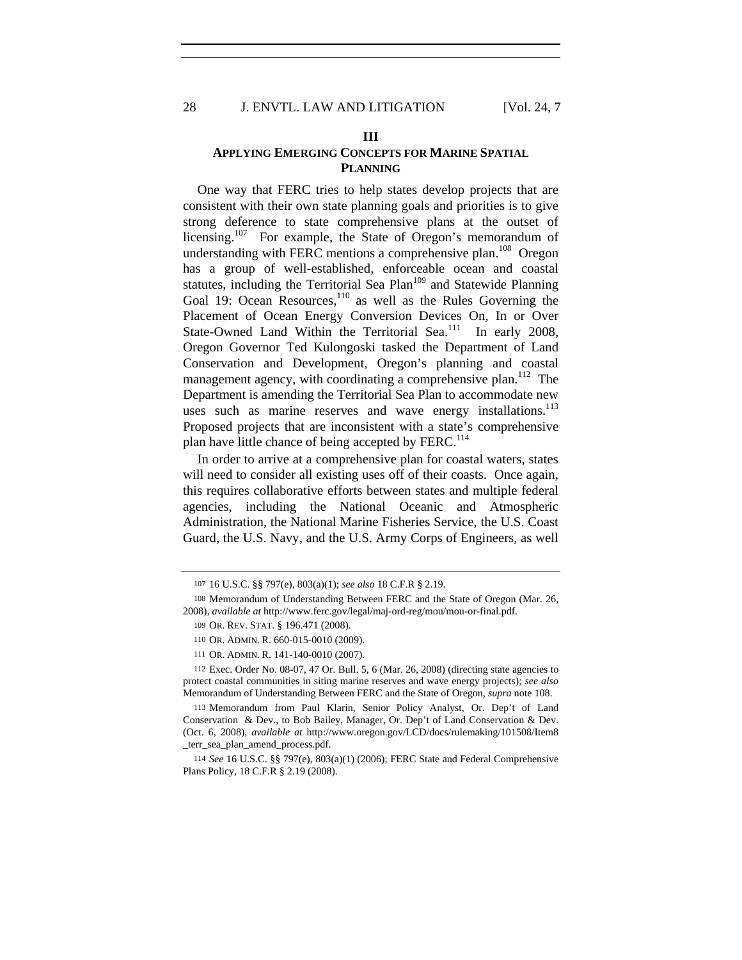#### **III**

# **APPLYING EMERGING CONCEPTS FOR MARINE SPATIAL PLANNING**

One way that FERC tries to help states develop projects that are consistent with their own state planning goals and priorities is to give strong deference to state comprehensive plans at the outset of licensing.<sup>107</sup> For example, the State of Oregon's memorandum of understanding with FERC mentions a comprehensive plan.<sup>108</sup> Oregon has a group of well-established, enforceable ocean and coastal statutes, including the Territorial Sea Plan<sup>109</sup> and Statewide Planning Goal 19: Ocean Resources,<sup>110</sup> as well as the Rules Governing the Placement of Ocean Energy Conversion Devices On, In or Over State-Owned Land Within the Territorial Sea. $111$  In early 2008, Oregon Governor Ted Kulongoski tasked the Department of Land Conservation and Development, Oregon's planning and coastal management agency, with coordinating a comprehensive plan.<sup>112</sup> The Department is amending the Territorial Sea Plan to accommodate new uses such as marine reserves and wave energy installations.<sup>113</sup> Proposed projects that are inconsistent with a state's comprehensive plan have little chance of being accepted by FERC.<sup>114</sup>

In order to arrive at a comprehensive plan for coastal waters, states will need to consider all existing uses off of their coasts. Once again, this requires collaborative efforts between states and multiple federal agencies, including the National Oceanic and Atmospheric Administration, the National Marine Fisheries Service, the U.S. Coast Guard, the U.S. Navy, and the U.S. Army Corps of Engineers, as well

112 Exec. Order No. 08-07, 47 Or. Bull. 5, 6 (Mar. 26, 2008) (directing state agencies to protect coastal communities in siting marine reserves and wave energy projects); *see also* Memorandum of Understanding Between FERC and the State of Oregon, *supra* note 108.

113 Memorandum from Paul Klarin, Senior Policy Analyst, Or. Dep't of Land Conservation & Dev., to Bob Bailey, Manager, Or. Dep't of Land Conservation & Dev. (Oct. 6, 2008), *available at* http://www.oregon.gov/LCD/docs/rulemaking/101508/Item8 \_terr\_sea\_plan\_amend\_process.pdf.

114 *See* 16 U.S.C. §§ 797(e), 803(a)(1) (2006); FERC State and Federal Comprehensive Plans Policy, 18 C.F.R § 2.19 (2008).

<sup>107</sup> 16 U.S.C. §§ 797(e), 803(a)(1); *see also* 18 C.F.R § 2.19.

<sup>108</sup> Memorandum of Understanding Between FERC and the State of Oregon (Mar. 26, 2008), *available at* http://www.ferc.gov/legal/maj-ord-reg/mou/mou-or-final.pdf.

<sup>109</sup> OR. REV. STAT. § 196.471 (2008).

<sup>110</sup> OR. ADMIN. R. 660-015-0010 (2009).

<sup>111</sup> OR. ADMIN. R. 141-140-0010 (2007).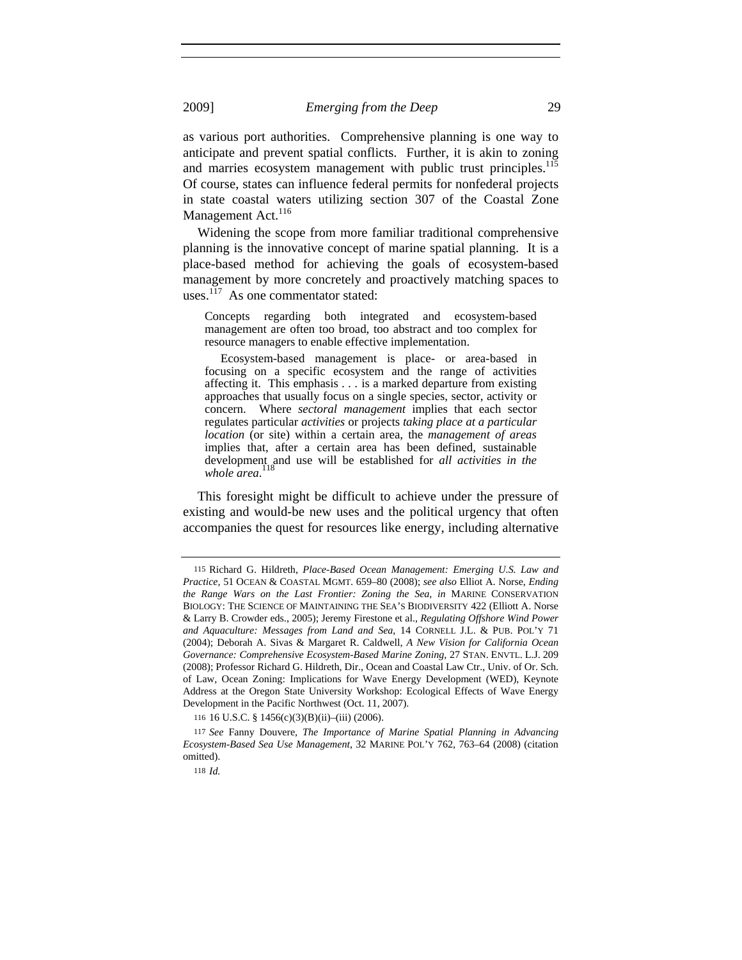as various port authorities. Comprehensive planning is one way to anticipate and prevent spatial conflicts. Further, it is akin to zoning and marries ecosystem management with public trust principles.<sup>115</sup> Of course, states can influence federal permits for nonfederal projects in state coastal waters utilizing section 307 of the Coastal Zone Management Act.<sup>116</sup>

Widening the scope from more familiar traditional comprehensive planning is the innovative concept of marine spatial planning. It is a place-based method for achieving the goals of ecosystem-based management by more concretely and proactively matching spaces to uses. $117$  As one commentator stated:

Concepts regarding both integrated and ecosystem-based management are often too broad, too abstract and too complex for resource managers to enable effective implementation.

Ecosystem-based management is place- or area-based in focusing on a specific ecosystem and the range of activities affecting it. This emphasis *. . .* is a marked departure from existing approaches that usually focus on a single species, sector, activity or concern. Where *sectoral management* implies that each sector regulates particular *activities* or projects *taking place at a particular location* (or site) within a certain area, the *management of areas* implies that, after a certain area has been defined, sustainable development and use will be established for *all activities in the*  118 *whole area*.

This foresight might be difficult to achieve under the pressure of existing and would-be new uses and the political urgency that often accompanies the quest for resources like energy, including alternative

<sup>115</sup> Richard G. Hildreth, *Place-Based Ocean Management: Emerging U.S. Law and Practice,* 51 OCEAN & COASTAL MGMT. 659–80 (2008); *see also* Elliot A. Norse, *Ending the Range Wars on the Last Frontier: Zoning the Sea*, *in* MARINE CONSERVATION BIOLOGY: THE SCIENCE OF MAINTAINING THE SEA'S BIODIVERSITY 422 (Elliott A. Norse & Larry B. Crowder eds., 2005); Jeremy Firestone et al., *Regulating Offshore Wind Power and Aquaculture: Messages from Land and Sea*, 14 CORNELL J.L. & PUB. POL'Y 71 (2004); Deborah A. Sivas & Margaret R. Caldwell, *A New Vision for California Ocean Governance: Comprehensive Ecosystem-Based Marine Zoning*, 27 STAN. ENVTL. L.J. 209 (2008); Professor Richard G. Hildreth, Dir., Ocean and Coastal Law Ctr., Univ. of Or. Sch. of Law, Ocean Zoning: Implications for Wave Energy Development (WED), Keynote Address at the Oregon State University Workshop: Ecological Effects of Wave Energy Development in the Pacific Northwest (Oct. 11, 2007).

<sup>116</sup> 16 U.S.C. § 1456(c)(3)(B)(ii)–(iii) (2006).

<sup>117</sup> *See* Fanny Douvere, *The Importance of Marine Spatial Planning in Advancing Ecosystem-Based Sea Use Management*, 32 MARINE POL'Y 762, 763–64 (2008) (citation omitted).

<sup>118</sup> *Id.*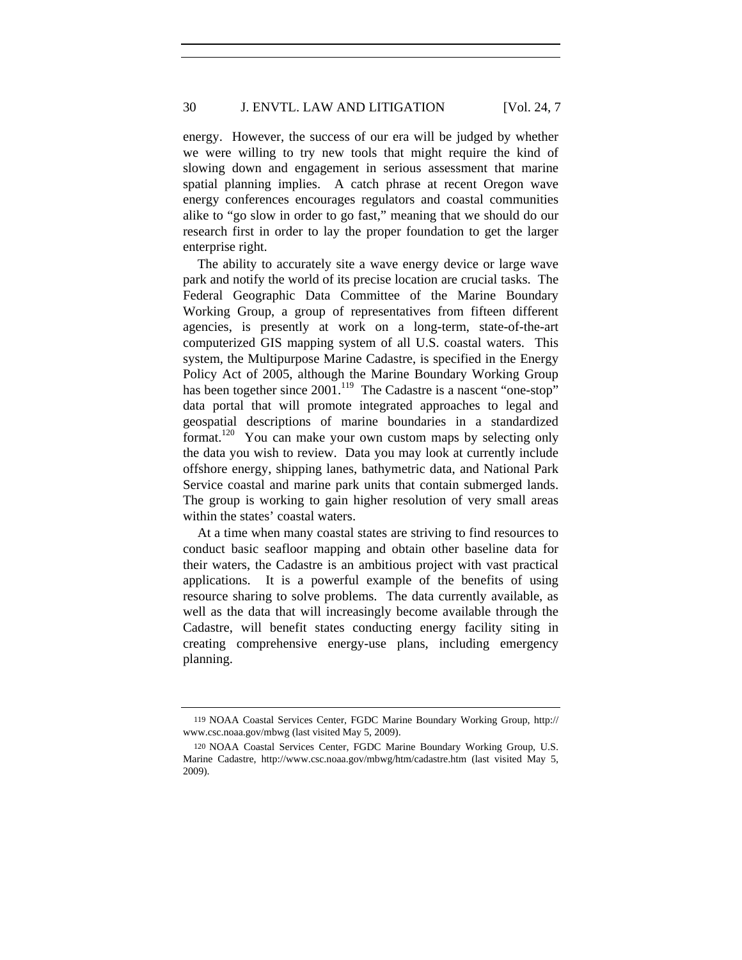energy. However, the success of our era will be judged by whether we were willing to try new tools that might require the kind of slowing down and engagement in serious assessment that marine spatial planning implies.A catch phrase at recent Oregon wave energy conferences encourages regulators and coastal communities alike to "go slow in order to go fast," meaning that we should do our research first in order to lay the proper foundation to get the larger enterprise right.

The ability to accurately site a wave energy device or large wave park and notify the world of its precise location are crucial tasks. The Federal Geographic Data Committee of the Marine Boundary Working Group, a group of representatives from fifteen different agencies, is presently at work on a long-term, state-of-the-art computerized GIS mapping system of all U.S. coastal waters. This system, the Multipurpose Marine Cadastre, is specified in the Energy Policy Act of 2005, although the Marine Boundary Working Group has been together since 2001.<sup>119</sup> The Cadastre is a nascent "one-stop" data portal that will promote integrated approaches to legal and geospatial descriptions of marine boundaries in a standardized format.<sup>120</sup> You can make your own custom maps by selecting only the data you wish to review. Data you may look at currently include offshore energy, shipping lanes, bathymetric data, and National Park Service coastal and marine park units that contain submerged lands. The group is working to gain higher resolution of very small areas within the states' coastal waters.

At a time when many coastal states are striving to find resources to conduct basic seafloor mapping and obtain other baseline data for their waters, the Cadastre is an ambitious project with vast practical applications. It is a powerful example of the benefits of using resource sharing to solve problems. The data currently available, as well as the data that will increasingly become available through the Cadastre, will benefit states conducting energy facility siting in creating comprehensive energy-use plans, including emergency planning.

<sup>119</sup> NOAA Coastal Services Center, FGDC Marine Boundary Working Group, http:// www.csc.noaa.gov/mbwg (last visited May 5, 2009).

<sup>120</sup> NOAA Coastal Services Center, FGDC Marine Boundary Working Group, U.S. Marine Cadastre, http://www.csc.noaa.gov/mbwg/htm/cadastre.htm (last visited May 5, 2009).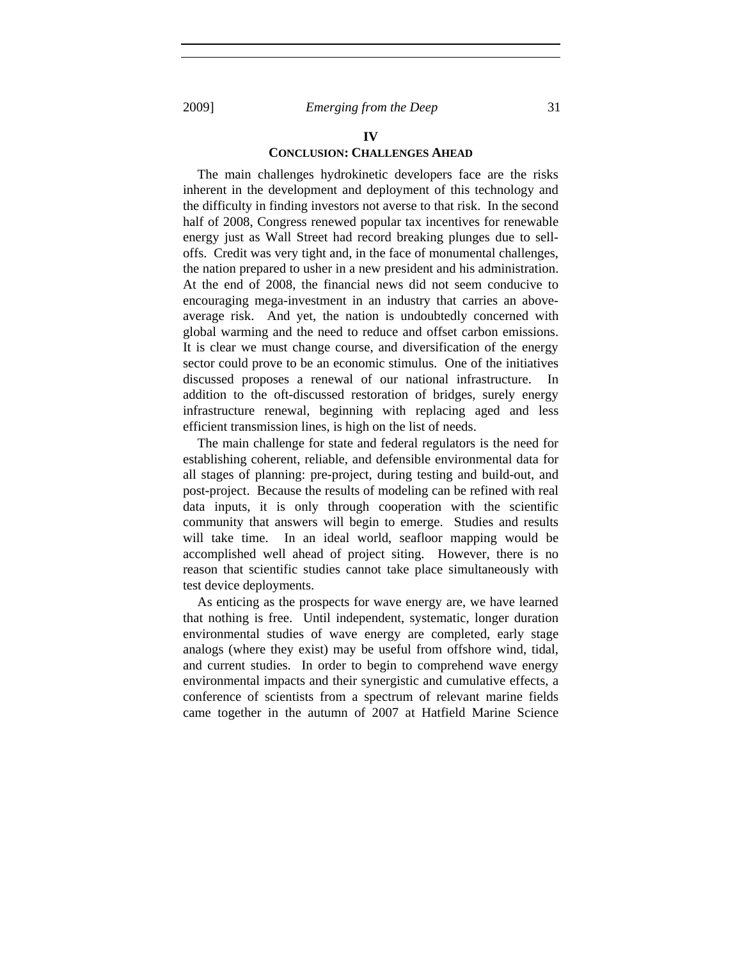# **IV**

## **CONCLUSION: CHALLENGES AHEAD**

The main challenges hydrokinetic developers face are the risks inherent in the development and deployment of this technology and the difficulty in finding investors not averse to that risk. In the second half of 2008, Congress renewed popular tax incentives for renewable energy just as Wall Street had record breaking plunges due to selloffs. Credit was very tight and, in the face of monumental challenges, the nation prepared to usher in a new president and his administration. At the end of 2008, the financial news did not seem conducive to encouraging mega-investment in an industry that carries an aboveaverage risk. And yet, the nation is undoubtedly concerned with global warming and the need to reduce and offset carbon emissions. It is clear we must change course, and diversification of the energy sector could prove to be an economic stimulus. One of the initiatives discussed proposes a renewal of our national infrastructure. In addition to the oft-discussed restoration of bridges, surely energy infrastructure renewal, beginning with replacing aged and less efficient transmission lines, is high on the list of needs.

The main challenge for state and federal regulators is the need for establishing coherent, reliable, and defensible environmental data for all stages of planning: pre-project, during testing and build-out, and post-project. Because the results of modeling can be refined with real data inputs, it is only through cooperation with the scientific community that answers will begin to emerge. Studies and results will take time.In an ideal world, seafloor mapping would be accomplished well ahead of project siting. However, there is no reason that scientific studies cannot take place simultaneously with test device deployments.

As enticing as the prospects for wave energy are, we have learned that nothing is free. Until independent, systematic, longer duration environmental studies of wave energy are completed, early stage analogs (where they exist) may be useful from offshore wind, tidal, and current studies. In order to begin to comprehend wave energy environmental impacts and their synergistic and cumulative effects, a conference of scientists from a spectrum of relevant marine fields came together in the autumn of 2007 at Hatfield Marine Science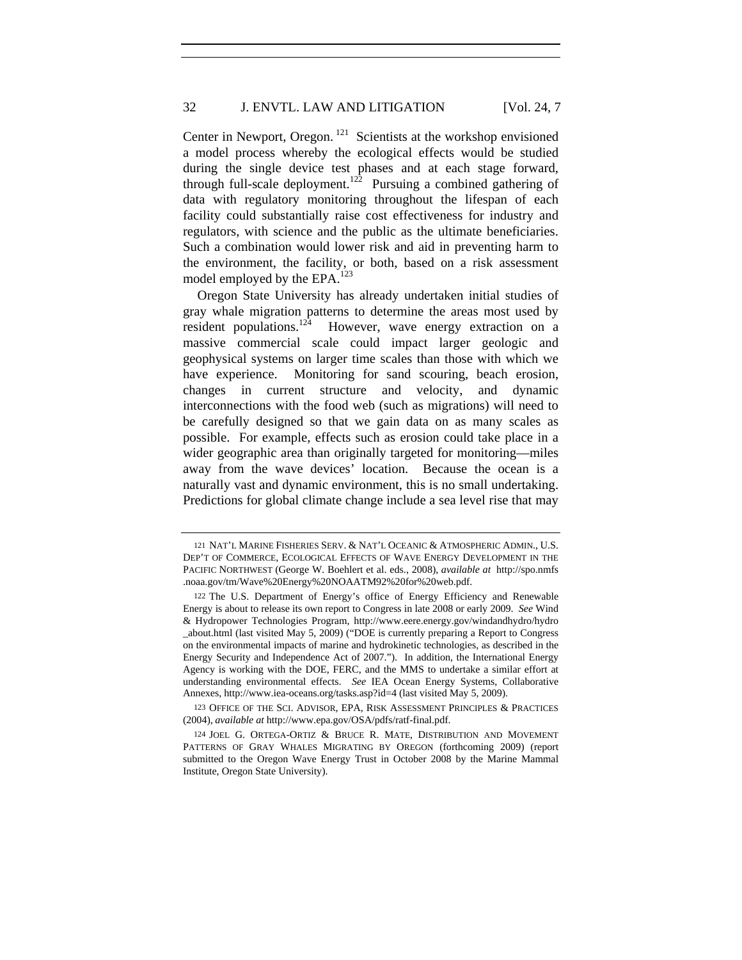Center in Newport, Oregon.<sup>121</sup> Scientists at the workshop envisioned a model process whereby the ecological effects would be studied during the single device test phases and at each stage forward, through full-scale deployment.122Pursuing a combined gathering of data with regulatory monitoring throughout the lifespan of each facility could substantially raise cost effectiveness for industry and regulators, with science and the public as the ultimate beneficiaries. Such a combination would lower risk and aid in preventing harm to the environment, the facility, or both, based on a risk assessment model employed by the EPA.<sup>123</sup>

Oregon State University has already undertaken initial studies of gray whale migration patterns to determine the areas most used by resident populations.<sup>124</sup> **However**, wave energy extraction on a massive commercial scale could impact larger geologic and geophysical systems on larger time scales than those with which we have experience. Monitoring for sand scouring, beach erosion, changes in current structure and velocity, and dynamic interconnections with the food web (such as migrations) will need to be carefully designed so that we gain data on as many scales as possible. For example, effects such as erosion could take place in a wider geographic area than originally targeted for monitoring—miles away from the wave devices' location. Because the ocean is a naturally vast and dynamic environment, this is no small undertaking. Predictions for global climate change include a sea level rise that may

123 OFFICE OF THE SCI. ADVISOR, EPA, RISK ASSESSMENT PRINCIPLES & PRACTICES (2004), *available at* http://www.epa.gov/OSA/pdfs/ratf-final.pdf.

<sup>121</sup> NAT'L MARINE FISHERIES SERV. & NAT'L OCEANIC & ATMOSPHERIC ADMIN., U.S. DEP'T OF COMMERCE, ECOLOGICAL EFFECTS OF WAVE ENERGY DEVELOPMENT IN THE PACIFIC NORTHWEST (George W. Boehlert et al. eds., 2008), *available at* http://spo.nmfs .noaa.gov/tm/Wave%20Energy%20NOAATM92%20for%20web.pdf.

<sup>122</sup> The U.S. Department of Energy's office of Energy Efficiency and Renewable Energy is about to release its own report to Congress in late 2008 or early 2009. *See* Wind & Hydropower Technologies Program, http://www.eere.energy.gov/windandhydro/hydro \_about.html (last visited May 5, 2009) ("DOE is currently preparing a Report to Congress on the environmental impacts of marine and hydrokinetic technologies, as described in the Energy Security and Independence Act of 2007."). In addition, the International Energy Agency is working with the DOE, FERC, and the MMS to undertake a similar effort at understanding environmental effects. *See* IEA Ocean Energy Systems, Collaborative Annexes, http://www.iea-oceans.org/tasks.asp?id=4 (last visited May 5, 2009).

<sup>124</sup> JOEL G. ORTEGA-ORTIZ & BRUCE R. MATE, DISTRIBUTION AND MOVEMENT PATTERNS OF GRAY WHALES MIGRATING BY OREGON (forthcoming 2009) (report submitted to the Oregon Wave Energy Trust in October 2008 by the Marine Mammal Institute, Oregon State University).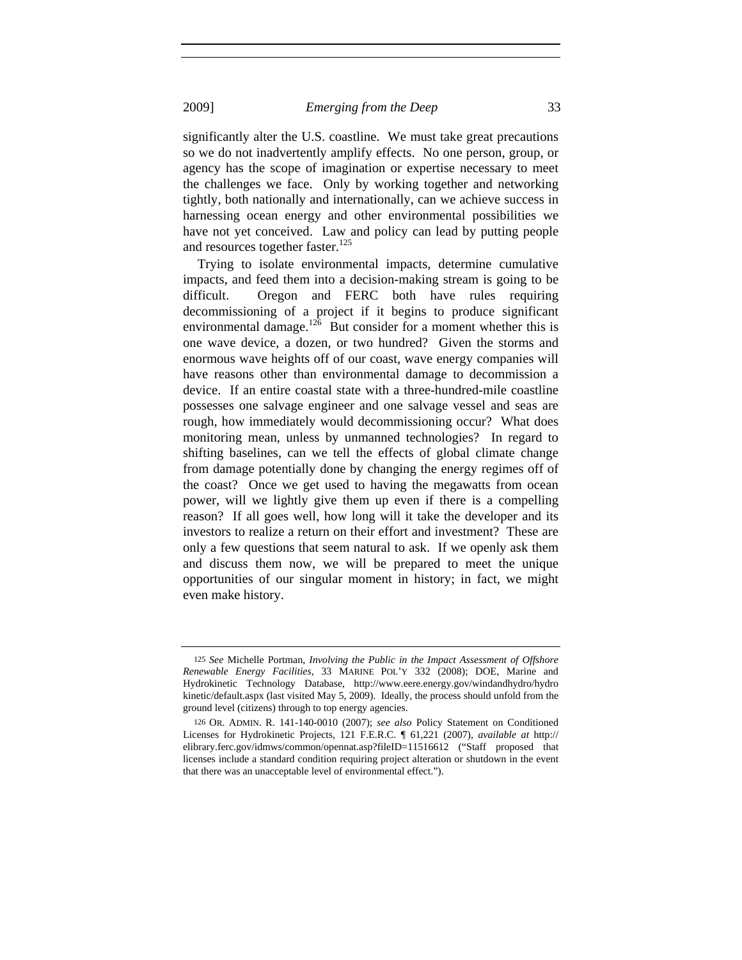significantly alter the U.S. coastline. We must take great precautions so we do not inadvertently amplify effects. No one person, group, or agency has the scope of imagination or expertise necessary to meet the challenges we face. Only by working together and networking tightly, both nationally and internationally, can we achieve success in harnessing ocean energy and other environmental possibilities we have not yet conceived. Law and policy can lead by putting people and resources together faster.<sup>125</sup>

Trying to isolate environmental impacts, determine cumulative impacts, and feed them into a decision-making stream is going to be difficult. Oregon and FERC both have rules requiring decommissioning of a project if it begins to produce significant environmental damage.<sup>126</sup> But consider for a moment whether this is one wave device, a dozen, or two hundred? Given the storms and enormous wave heights off of our coast, wave energy companies will have reasons other than environmental damage to decommission a device. If an entire coastal state with a three-hundred-mile coastline possesses one salvage engineer and one salvage vessel and seas are rough, how immediately would decommissioning occur? What does monitoring mean, unless by unmanned technologies? In regard to shifting baselines, can we tell the effects of global climate change from damage potentially done by changing the energy regimes off of the coast? Once we get used to having the megawatts from ocean power, will we lightly give them up even if there is a compelling reason? If all goes well, how long will it take the developer and its investors to realize a return on their effort and investment? These are only a few questions that seem natural to ask. If we openly ask them and discuss them now, we will be prepared to meet the unique opportunities of our singular moment in history; in fact, we might even make history.

<sup>125</sup> *See* Michelle Portman, *Involving the Public in the Impact Assessment of Offshore Renewable Energy Facilities*, 33 MARINE POL'Y 332 (2008); DOE, Marine and Hydrokinetic Technology Database, http://www.eere.energy.gov/windandhydro/hydro kinetic/default.aspx (last visited May 5, 2009). Ideally, the process should unfold from the ground level (citizens) through to top energy agencies.

<sup>126</sup> OR. ADMIN. R. 141-140-0010 (2007); *see also* Policy Statement on Conditioned Licenses for Hydrokinetic Projects, 121 F.E.R.C. ¶ 61,221 (2007), *available at* http:// elibrary.ferc.gov/idmws/common/opennat.asp?fileID=11516612 ("Staff proposed that licenses include a standard condition requiring project alteration or shutdown in the event that there was an unacceptable level of environmental effect.").